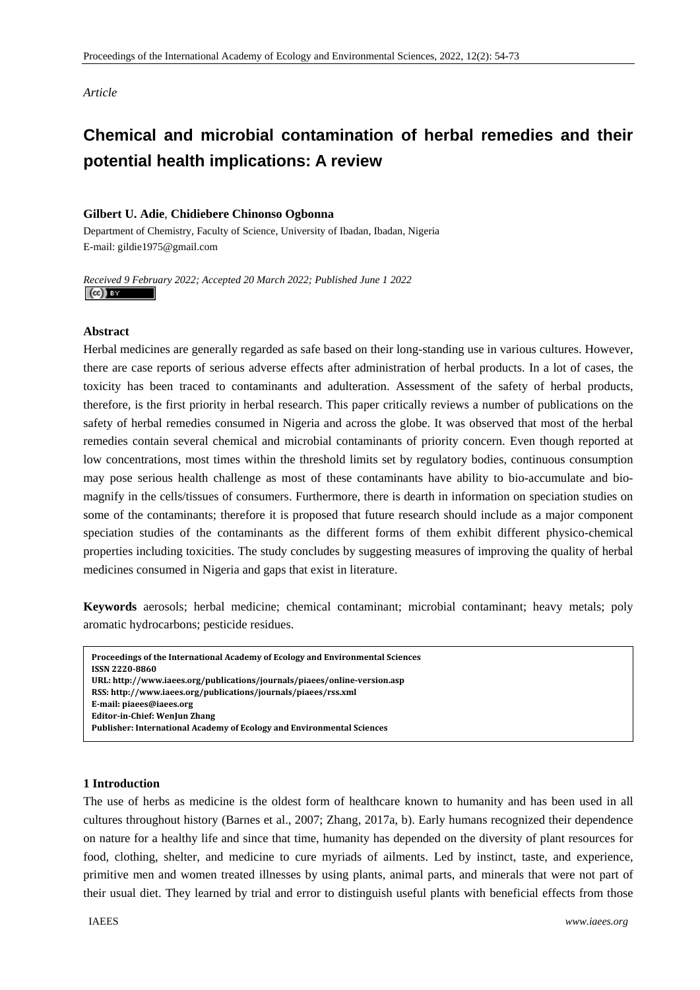*Article* 

# **Chemical and microbial contamination of herbal remedies and their potential health implications: A review**

# **Gilbert U. Adie**, **Chidiebere Chinonso Ogbonna**

Department of Chemistry, Faculty of Science, University of Ibadan, Ibadan, Nigeria E-mail: gildie1975@gmail.com

*Received 9 February 2022; Accepted 20 March 2022; Published June 1 2022*   $\left(\mathrm{cc}\right)$  and

# **Abstract**

Herbal medicines are generally regarded as safe based on their long-standing use in various cultures. However, there are case reports of serious adverse effects after administration of herbal products. In a lot of cases, the toxicity has been traced to contaminants and adulteration. Assessment of the safety of herbal products, therefore, is the first priority in herbal research. This paper critically reviews a number of publications on the safety of herbal remedies consumed in Nigeria and across the globe. It was observed that most of the herbal remedies contain several chemical and microbial contaminants of priority concern. Even though reported at low concentrations, most times within the threshold limits set by regulatory bodies, continuous consumption may pose serious health challenge as most of these contaminants have ability to bio-accumulate and biomagnify in the cells/tissues of consumers. Furthermore, there is dearth in information on speciation studies on some of the contaminants; therefore it is proposed that future research should include as a major component speciation studies of the contaminants as the different forms of them exhibit different physico-chemical properties including toxicities. The study concludes by suggesting measures of improving the quality of herbal medicines consumed in Nigeria and gaps that exist in literature.

**Keywords** aerosols; herbal medicine; chemical contaminant; microbial contaminant; heavy metals; poly aromatic hydrocarbons; pesticide residues.

```
1 Introduction 
Publisher: International Academy of Ecology and Environmental SciencesProceedings of the International Academy of Ecology and Environmental Sciences   
 ISSN 22208860  
 URL: http://www.iaees.org/publications/journals/piaees/onlineversion.asp
 RSS: http://www.iaees.org/publications/journals/piaees/rss.xml
 Email: piaees@iaees.org
 EditorinChief: WenJun Zhang
```
#### **1 Introduction**

The use of herbs as medicine is the oldest form of healthcare known to humanity and has been used in all cultures throughout history (Barnes et al., 2007; Zhang, 2017a, b). Early humans recognized their dependence on nature for a healthy life and since that time, humanity has depended on the diversity of plant resources for food, clothing, shelter, and medicine to cure myriads of ailments. Led by instinct, taste, and experience, primitive men and women treated illnesses by using plants, animal parts, and minerals that were not part of their usual diet. They learned by trial and error to distinguish useful plants with beneficial effects from those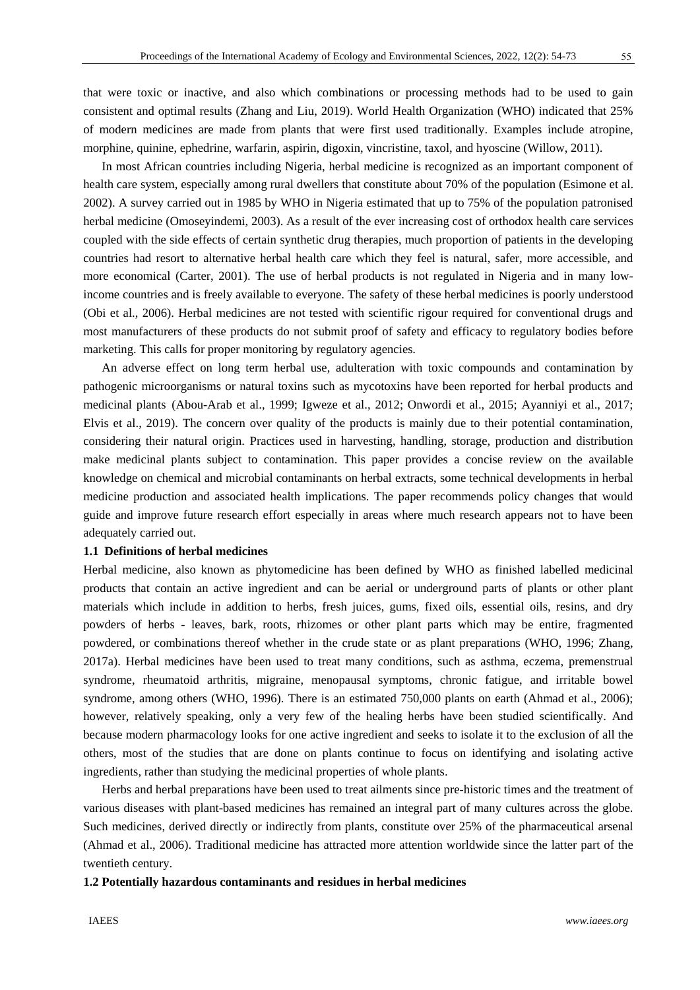that were toxic or inactive, and also which combinations or processing methods had to be used to gain consistent and optimal results (Zhang and Liu, 2019). World Health Organization (WHO) indicated that 25% of modern medicines are made from plants that were first used traditionally. Examples include atropine, morphine, quinine, ephedrine, warfarin, aspirin, digoxin, vincristine, taxol, and hyoscine (Willow, 2011).

In most African countries including Nigeria, herbal medicine is recognized as an important component of health care system, especially among rural dwellers that constitute about 70% of the population (Esimone et al. 2002). A survey carried out in 1985 by WHO in Nigeria estimated that up to 75% of the population patronised herbal medicine (Omoseyindemi, 2003). As a result of the ever increasing cost of orthodox health care services coupled with the side effects of certain synthetic drug therapies, much proportion of patients in the developing countries had resort to alternative herbal health care which they feel is natural, safer, more accessible, and more economical (Carter, 2001). The use of herbal products is not regulated in Nigeria and in many lowincome countries and is freely available to everyone. The safety of these herbal medicines is poorly understood (Obi et al., 2006). Herbal medicines are not tested with scientific rigour required for conventional drugs and most manufacturers of these products do not submit proof of safety and efficacy to regulatory bodies before marketing. This calls for proper monitoring by regulatory agencies.

An adverse effect on long term herbal use, adulteration with toxic compounds and contamination by pathogenic microorganisms or natural toxins such as mycotoxins have been reported for herbal products and medicinal plants (Abou-Arab et al., 1999; Igweze et al., 2012; Onwordi et al., 2015; Ayanniyi et al., 2017; Elvis et al., 2019). The concern over quality of the products is mainly due to their potential contamination, considering their natural origin. Practices used in harvesting, handling, storage, production and distribution make medicinal plants subject to contamination. This paper provides a concise review on the available knowledge on chemical and microbial contaminants on herbal extracts, some technical developments in herbal medicine production and associated health implications. The paper recommends policy changes that would guide and improve future research effort especially in areas where much research appears not to have been adequately carried out.

#### **1.1 Definitions of herbal medicines**

Herbal medicine, also known as phytomedicine has been defined by WHO as finished labelled medicinal products that contain an active ingredient and can be aerial or underground parts of plants or other plant materials which include in addition to herbs, fresh juices, gums, fixed oils, essential oils, resins, and dry powders of herbs - leaves, bark, roots, rhizomes or other plant parts which may be entire, fragmented powdered, or combinations thereof whether in the crude state or as plant preparations (WHO, 1996; Zhang, 2017a). Herbal medicines have been used to treat many conditions, such as asthma, eczema, premenstrual syndrome, rheumatoid arthritis, migraine, menopausal symptoms, chronic fatigue, and irritable bowel syndrome, among others (WHO, 1996). There is an estimated 750,000 plants on earth (Ahmad et al., 2006); however, relatively speaking, only a very few of the healing herbs have been studied scientifically. And because modern pharmacology looks for one active ingredient and seeks to isolate it to the exclusion of all the others, most of the studies that are done on plants continue to focus on identifying and isolating active ingredients, rather than studying the medicinal properties of whole plants.

Herbs and herbal preparations have been used to treat ailments since pre-historic times and the treatment of various diseases with plant-based medicines has remained an integral part of many cultures across the globe. Such medicines, derived directly or indirectly from plants, constitute over 25% of the pharmaceutical arsenal (Ahmad et al., 2006). Traditional medicine has attracted more attention worldwide since the latter part of the twentieth century.

#### **1.2 Potentially hazardous contaminants and residues in herbal medicines**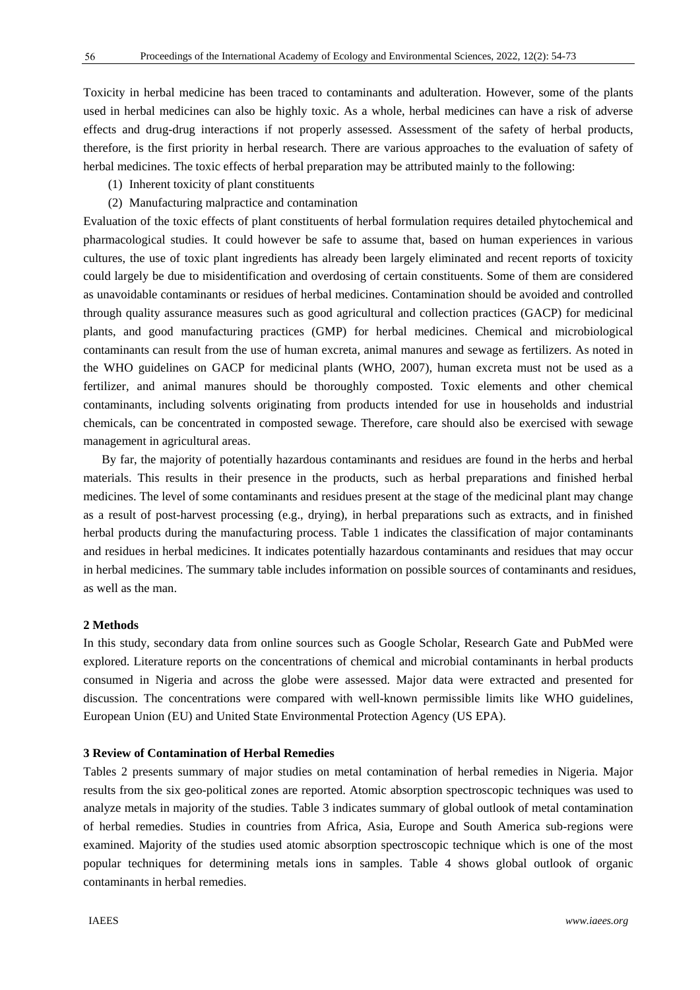Toxicity in herbal medicine has been traced to contaminants and adulteration. However, some of the plants used in herbal medicines can also be highly toxic. As a whole, herbal medicines can have a risk of adverse effects and drug-drug interactions if not properly assessed. Assessment of the safety of herbal products, therefore, is the first priority in herbal research. There are various approaches to the evaluation of safety of herbal medicines. The toxic effects of herbal preparation may be attributed mainly to the following:

- (1) Inherent toxicity of plant constituents
- (2) Manufacturing malpractice and contamination

Evaluation of the toxic effects of plant constituents of herbal formulation requires detailed phytochemical and pharmacological studies. It could however be safe to assume that, based on human experiences in various cultures, the use of toxic plant ingredients has already been largely eliminated and recent reports of toxicity could largely be due to misidentification and overdosing of certain constituents. Some of them are considered as unavoidable contaminants or residues of herbal medicines. Contamination should be avoided and controlled through quality assurance measures such as good agricultural and collection practices (GACP) for medicinal plants, and good manufacturing practices (GMP) for herbal medicines. Chemical and microbiological contaminants can result from the use of human excreta, animal manures and sewage as fertilizers. As noted in the WHO guidelines on GACP for medicinal plants (WHO, 2007), human excreta must not be used as a fertilizer, and animal manures should be thoroughly composted. Toxic elements and other chemical contaminants, including solvents originating from products intended for use in households and industrial chemicals, can be concentrated in composted sewage. Therefore, care should also be exercised with sewage management in agricultural areas.

By far, the majority of potentially hazardous contaminants and residues are found in the herbs and herbal materials. This results in their presence in the products, such as herbal preparations and finished herbal medicines. The level of some contaminants and residues present at the stage of the medicinal plant may change as a result of post-harvest processing (e.g., drying), in herbal preparations such as extracts, and in finished herbal products during the manufacturing process. Table 1 indicates the classification of major contaminants and residues in herbal medicines. It indicates potentially hazardous contaminants and residues that may occur in herbal medicines. The summary table includes information on possible sources of contaminants and residues, as well as the man.

## **2 Methods**

In this study, secondary data from online sources such as Google Scholar, Research Gate and PubMed were explored. Literature reports on the concentrations of chemical and microbial contaminants in herbal products consumed in Nigeria and across the globe were assessed. Major data were extracted and presented for discussion. The concentrations were compared with well-known permissible limits like WHO guidelines, European Union (EU) and United State Environmental Protection Agency (US EPA).

#### **3 Review of Contamination of Herbal Remedies**

Tables 2 presents summary of major studies on metal contamination of herbal remedies in Nigeria. Major results from the six geo-political zones are reported. Atomic absorption spectroscopic techniques was used to analyze metals in majority of the studies. Table 3 indicates summary of global outlook of metal contamination of herbal remedies. Studies in countries from Africa, Asia, Europe and South America sub-regions were examined. Majority of the studies used atomic absorption spectroscopic technique which is one of the most popular techniques for determining metals ions in samples. Table 4 shows global outlook of organic contaminants in herbal remedies.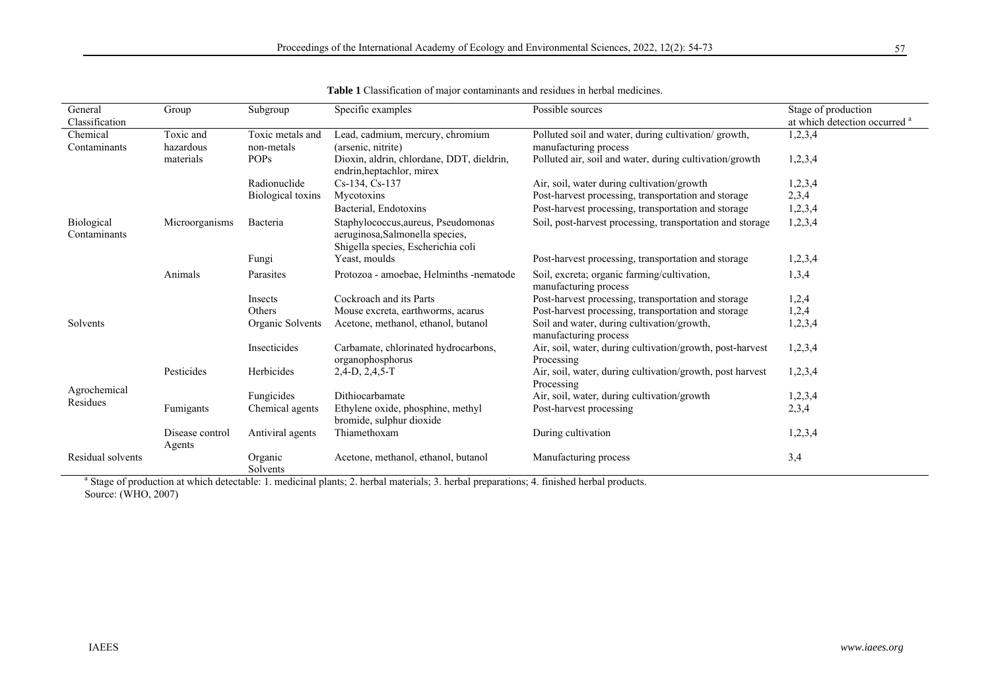| General<br>Classification  | Group                     | Subgroup            | Specific examples                                                                                            | Possible sources                                                        | Stage of production<br>at which detection occurred <sup>a</sup> |
|----------------------------|---------------------------|---------------------|--------------------------------------------------------------------------------------------------------------|-------------------------------------------------------------------------|-----------------------------------------------------------------|
| Chemical                   | Toxic and                 | Toxic metals and    | Lead, cadmium, mercury, chromium                                                                             | Polluted soil and water, during cultivation/growth,                     | 1,2,3,4                                                         |
| Contaminants               | hazardous                 | non-metals          | (arsenic, nitrite)                                                                                           | manufacturing process                                                   |                                                                 |
|                            | materials                 | <b>POPs</b>         | Dioxin, aldrin, chlordane, DDT, dieldrin,<br>endrin, heptachlor, mirex                                       | Polluted air, soil and water, during cultivation/growth                 | 1,2,3,4                                                         |
|                            |                           | Radionuclide        | Cs-134, Cs-137                                                                                               | Air, soil, water during cultivation/growth                              | 1,2,3,4                                                         |
|                            |                           | Biological toxins   | Mycotoxins                                                                                                   | Post-harvest processing, transportation and storage                     | 2,3,4                                                           |
|                            |                           |                     | Bacterial, Endotoxins                                                                                        | Post-harvest processing, transportation and storage                     | 1,2,3,4                                                         |
| Biological<br>Contaminants | Microorganisms            | Bacteria            | Staphylococcus, aureus, Pseudomonas<br>aeruginosa, Salmonella species,<br>Shigella species, Escherichia coli | Soil, post-harvest processing, transportation and storage               | 1,2,3,4                                                         |
|                            |                           | Fungi               | Yeast, moulds                                                                                                | Post-harvest processing, transportation and storage                     | 1,2,3,4                                                         |
|                            | Animals                   | Parasites           | Protozoa - amoebae, Helminths -nematode                                                                      | Soil, excreta; organic farming/cultivation,<br>manufacturing process    | 1,3,4                                                           |
|                            |                           | Insects             | Cockroach and its Parts                                                                                      | Post-harvest processing, transportation and storage                     | 1,2,4                                                           |
|                            |                           | Others              | Mouse excreta, earthworms, acarus                                                                            | Post-harvest processing, transportation and storage                     | 1,2,4                                                           |
| Solvents                   |                           | Organic Solvents    | Acetone, methanol, ethanol, butanol                                                                          | Soil and water, during cultivation/growth,<br>manufacturing process     | 1,2,3,4                                                         |
|                            |                           | Insecticides        | Carbamate, chlorinated hydrocarbons,<br>organophosphorus                                                     | Air, soil, water, during cultivation/growth, post-harvest<br>Processing | 1,2,3,4                                                         |
|                            | Pesticides                | Herbicides          | $2,4-D, 2,4,5-T$                                                                                             | Air, soil, water, during cultivation/growth, post harvest<br>Processing | 1,2,3,4                                                         |
| Agrochemical               |                           | Fungicides          | Dithiocarbamate                                                                                              | Air, soil, water, during cultivation/growth                             | 1,2,3,4                                                         |
| Residues                   | Fumigants                 | Chemical agents     | Ethylene oxide, phosphine, methyl<br>bromide, sulphur dioxide                                                | Post-harvest processing                                                 | 2,3,4                                                           |
|                            | Disease control<br>Agents | Antiviral agents    | Thiamethoxam                                                                                                 | During cultivation                                                      | 1,2,3,4                                                         |
| Residual solvents          |                           | Organic<br>Solvents | Acetone, methanol, ethanol, butanol                                                                          | Manufacturing process                                                   | 3,4                                                             |

**Table 1** Classification of major contaminants and residues in herbal medicines.

<sup>a</sup> Stage of production at which detectable: 1. medicinal plants; 2. herbal materials; 3. herbal preparations; 4. finished herbal products. Source: (WHO, 2007)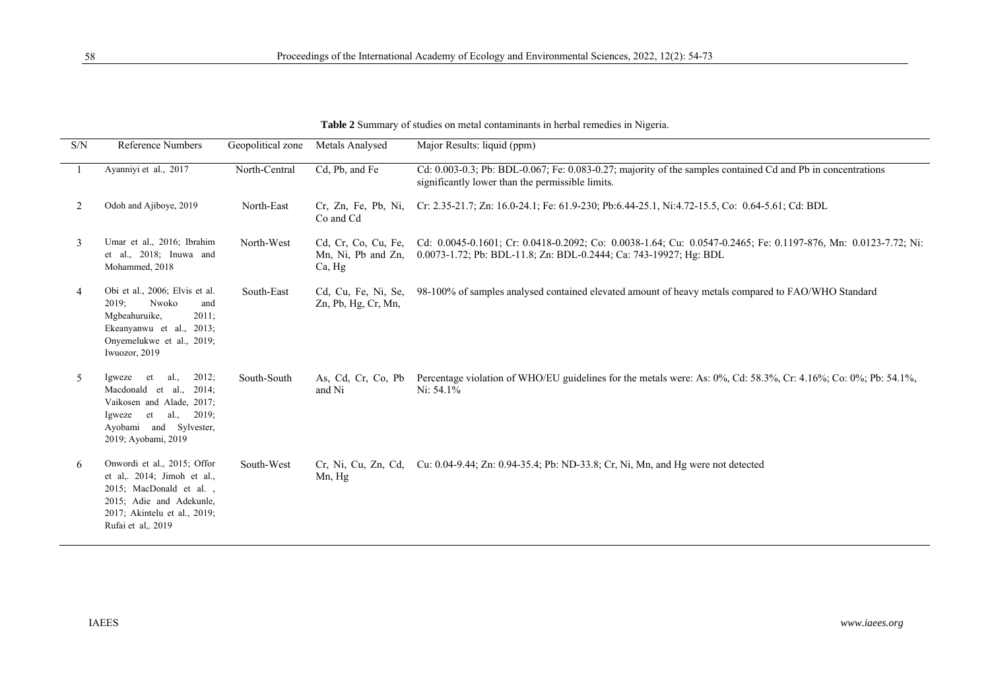**Table 2** Summary of studies on metal contaminants in herbal remedies in Nigeria.

| S/N | <b>Reference Numbers</b>                                                                                                                                                   | Geopolitical zone Metals Analysed |                                                     | Major Results: liquid (ppm)                                                                                                                                                         |
|-----|----------------------------------------------------------------------------------------------------------------------------------------------------------------------------|-----------------------------------|-----------------------------------------------------|-------------------------------------------------------------------------------------------------------------------------------------------------------------------------------------|
|     | Ayanniyi et al., 2017                                                                                                                                                      | North-Central                     | Cd, Pb, and Fe                                      | Cd: 0.003-0.3; Pb: BDL-0.067; Fe: 0.083-0.27; majority of the samples contained Cd and Pb in concentrations<br>significantly lower than the permissible limits.                     |
| 2   | Odoh and Ajiboye, 2019                                                                                                                                                     | North-East                        | Cr, Zn, Fe, Pb, Ni,<br>Co and Cd                    | Cr: 2.35-21.7; Zn: 16.0-24.1; Fe: 61.9-230; Pb:6.44-25.1, Ni:4.72-15.5, Co: 0.64-5.61; Cd: BDL                                                                                      |
| 3   | Umar et al., 2016; Ibrahim<br>et al., 2018; Inuwa and<br>Mohammed, 2018                                                                                                    | North-West                        | Cd, Cr, Co, Cu, Fe,<br>Mn, Ni, Pb and Zn,<br>Ca, Hg | Cd: 0.0045-0.1601; Cr: 0.0418-0.2092; Co: 0.0038-1.64; Cu: 0.0547-0.2465; Fe: 0.1197-876, Mn: 0.0123-7.72; Ni:<br>0.0073-1.72; Pb: BDL-11.8; Zn: BDL-0.2444; Ca: 743-19927; Hg: BDL |
| 4   | Obi et al., 2006; Elvis et al.<br>Nwoko<br>2019;<br>and<br>Mgbeahuruike,<br>$2011$ ;<br>Ekeanyanwu et al., 2013;<br>Onyemelukwe et al., 2019;<br>Iwuozor, 2019             | South-East                        | Zn, Pb, Hg, Cr, Mn,                                 | Cd, Cu, Fe, Ni, Se, 98-100% of samples analysed contained elevated amount of heavy metals compared to FAO/WHO Standard                                                              |
| 5   | 2012;<br>al.,<br>Igweze et<br>Macdonald et al., 2014;<br>Vaikosen and Alade, 2017;<br>Igweze et al., $2019$ ;<br>Ayobami and Sylvester,<br>2019; Ayobami, 2019             | South-South                       | and Ni                                              | As, Cd, Cr, Co, Pb Percentage violation of WHO/EU guidelines for the metals were: As: 0%, Cd: 58.3%, Cr: 4.16%; Co: 0%; Pb: 54.1%,<br>Ni: $54.1\%$                                  |
| 6   | Onwordi et al., 2015; Offor<br>et al., $2014$ ; Jimoh et al.,<br>2015; MacDonald et al.,<br>2015; Adie and Adekunle,<br>2017; Akintelu et al., 2019;<br>Rufai et al., 2019 | South-West                        | Mn, Hg                                              | Cr, Ni, Cu, Zn, Cd, Cu: 0.04-9.44; Zn: 0.94-35.4; Pb: ND-33.8; Cr, Ni, Mn, and Hg were not detected                                                                                 |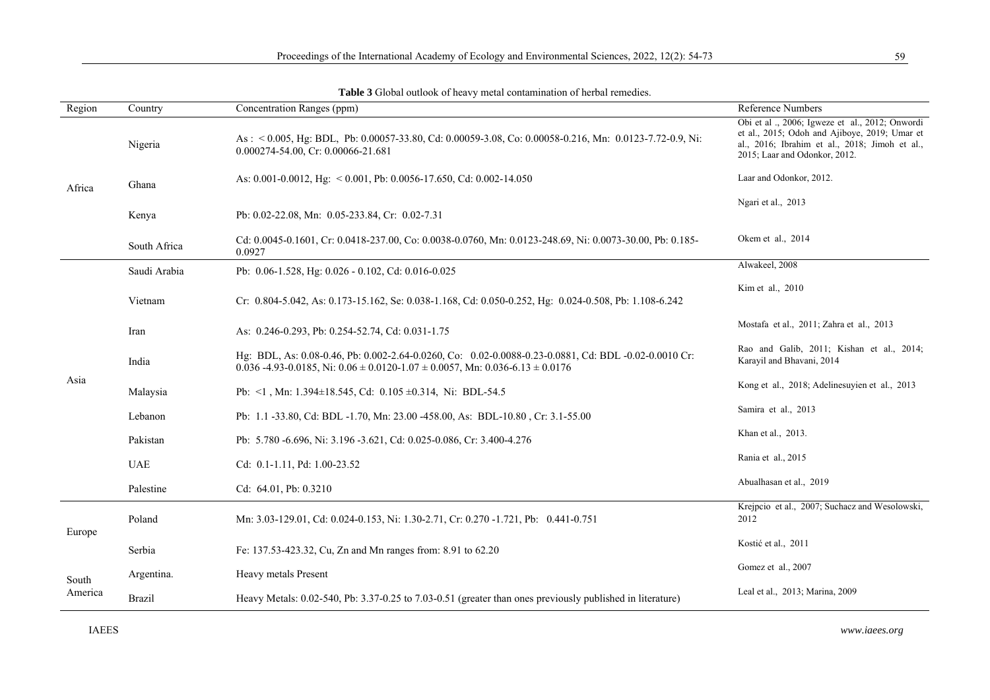| Region           | Country       | Concentration Ranges (ppm)                                                                                                                                                                                | Reference Numbers                                                                                                                                                                  |
|------------------|---------------|-----------------------------------------------------------------------------------------------------------------------------------------------------------------------------------------------------------|------------------------------------------------------------------------------------------------------------------------------------------------------------------------------------|
| Africa           | Nigeria       | As: $\leq 0.005$ , Hg: BDL, Pb: 0.00057-33.80, Cd: 0.00059-3.08, Co: 0.00058-0.216, Mn: 0.0123-7.72-0.9, Ni:<br>0.000274-54.00, Cr: 0.00066-21.681                                                        | Obi et al., 2006; Igweze et al., 2012; Onwordi<br>et al., 2015; Odoh and Ajiboye, 2019; Umar et<br>al., 2016; Ibrahim et al., 2018; Jimoh et al.,<br>2015; Laar and Odonkor, 2012. |
|                  | Ghana         | As: 0.001-0.0012, Hg: $<$ 0.001, Pb: 0.0056-17.650, Cd: 0.002-14.050                                                                                                                                      | Laar and Odonkor, 2012.                                                                                                                                                            |
|                  | Kenya         | Pb: 0.02-22.08, Mn: 0.05-233.84, Cr: 0.02-7.31                                                                                                                                                            | Ngari et al., 2013                                                                                                                                                                 |
|                  | South Africa  | Cd: 0.0045-0.1601, Cr: 0.0418-237.00, Co: 0.0038-0.0760, Mn: 0.0123-248.69, Ni: 0.0073-30.00, Pb: 0.185-<br>0.0927                                                                                        | Okem et al., 2014                                                                                                                                                                  |
| Asia             | Saudi Arabia  | Pb: 0.06-1.528, Hg: 0.026 - 0.102, Cd: 0.016-0.025                                                                                                                                                        | Alwakeel, 2008                                                                                                                                                                     |
|                  | Vietnam       | Cr: $0.804-5.042$ , As: $0.173-15.162$ , Se: $0.038-1.168$ , Cd: $0.050-0.252$ , Hg: $0.024-0.508$ , Pb: $1.108-6.242$                                                                                    | Kim et al., 2010                                                                                                                                                                   |
|                  | Iran          | As: 0.246-0.293, Pb: 0.254-52.74, Cd: 0.031-1.75                                                                                                                                                          | Mostafa et al., 2011; Zahra et al., 2013                                                                                                                                           |
|                  | India         | Hg: BDL, As: 0.08-0.46, Pb: 0.002-2.64-0.0260, Co: 0.02-0.0088-0.23-0.0881, Cd: BDL -0.02-0.0010 Cr:<br>$0.036 - 4.93 - 0.0185$ , Ni: $0.06 \pm 0.0120 - 1.07 \pm 0.0057$ , Mn: $0.036 - 6.13 \pm 0.0176$ | Rao and Galib, 2011; Kishan et al., 2014;<br>Karayil and Bhavani, 2014                                                                                                             |
|                  | Malaysia      | Pb: $\leq$ 1, Mn: 1.394 $\pm$ 18.545, Cd: 0.105 $\pm$ 0.314, Ni: BDL-54.5                                                                                                                                 | Kong et al., 2018; Adelinesuyien et al., 2013                                                                                                                                      |
|                  | Lebanon       | Pb: 1.1-33.80, Cd: BDL-1.70, Mn: 23.00-458.00, As: BDL-10.80, Cr: 3.1-55.00                                                                                                                               | Samira et al., 2013                                                                                                                                                                |
|                  | Pakistan      | Pb: 5.780 -6.696, Ni: 3.196 -3.621, Cd: 0.025-0.086, Cr: 3.400-4.276                                                                                                                                      | Khan et al., 2013.                                                                                                                                                                 |
|                  | <b>UAE</b>    | Cd: 0.1-1.11, Pd: 1.00-23.52                                                                                                                                                                              | Rania et al., 2015                                                                                                                                                                 |
|                  | Palestine     | Cd: 64.01, Pb: 0.3210                                                                                                                                                                                     | Abualhasan et al., 2019                                                                                                                                                            |
| Europe           | Poland        | Mn: 3.03-129.01, Cd: 0.024-0.153, Ni: 1.30-2.71, Cr: 0.270 -1.721, Pb: 0.441-0.751                                                                                                                        | Krejpcio et al., 2007; Suchacz and Wesolowski,<br>2012                                                                                                                             |
|                  | Serbia        | Fe: 137.53-423.32, Cu, Zn and Mn ranges from: 8.91 to 62.20                                                                                                                                               | Kostić et al., 2011                                                                                                                                                                |
| South<br>America | Argentina.    | Heavy metals Present                                                                                                                                                                                      | Gomez et al., 2007                                                                                                                                                                 |
|                  | <b>Brazil</b> | Heavy Metals: 0.02-540, Pb: 3.37-0.25 to 7.03-0.51 (greater than ones previously published in literature)                                                                                                 | Leal et al., 2013; Marina, 2009                                                                                                                                                    |

**Table 3** Global outlook of heavy metal contamination of herbal remedies.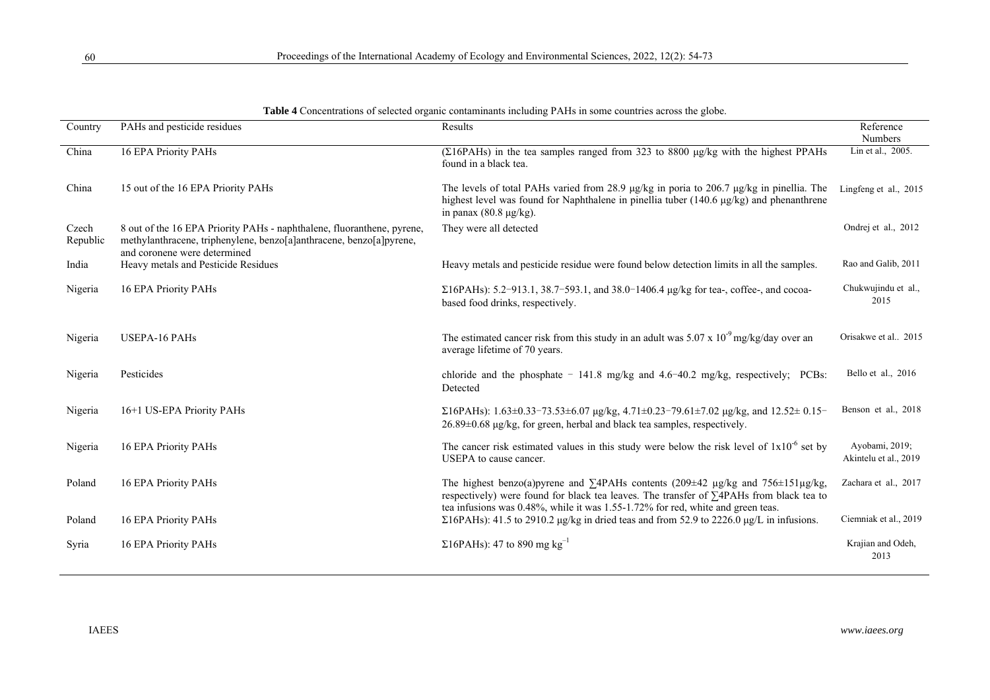| Country           | PAHs and pesticide residues                                                                                                                                                   | Results                                                                                                                                                                                                                                                                      | Reference                               |
|-------------------|-------------------------------------------------------------------------------------------------------------------------------------------------------------------------------|------------------------------------------------------------------------------------------------------------------------------------------------------------------------------------------------------------------------------------------------------------------------------|-----------------------------------------|
| China             |                                                                                                                                                                               |                                                                                                                                                                                                                                                                              | Numbers<br>Lin et al., 2005.            |
|                   | 16 EPA Priority PAHs                                                                                                                                                          | $(\Sigma 16PAHs)$ in the tea samples ranged from 323 to 8800 $\mu$ g/kg with the highest PPAHs<br>found in a black tea.                                                                                                                                                      |                                         |
| China             | 15 out of the 16 EPA Priority PAHs                                                                                                                                            | The levels of total PAHs varied from 28.9 µg/kg in poria to 206.7 µg/kg in pinellia. The<br>highest level was found for Naphthalene in pinellia tuber (140.6 $\mu$ g/kg) and phenanthrene<br>in panax $(80.8 \mu g/kg)$ .                                                    | Lingfeng et al., 2015                   |
| Czech<br>Republic | 8 out of the 16 EPA Priority PAHs - naphthalene, fluoranthene, pyrene,<br>methylanthracene, triphenylene, benzo[a]anthracene, benzo[a]pyrene,<br>and coronene were determined | They were all detected                                                                                                                                                                                                                                                       | Ondrej et al., 2012                     |
| India             | Heavy metals and Pesticide Residues                                                                                                                                           | Heavy metals and pesticide residue were found below detection limits in all the samples.                                                                                                                                                                                     | Rao and Galib, 2011                     |
| Nigeria           | 16 EPA Priority PAHs                                                                                                                                                          | $\Sigma$ 16PAHs): 5.2-913.1, 38.7-593.1, and 38.0-1406.4 µg/kg for tea-, coffee-, and cocoa-<br>based food drinks, respectively.                                                                                                                                             | Chukwujindu et al.,<br>2015             |
| Nigeria           | <b>USEPA-16 PAHs</b>                                                                                                                                                          | The estimated cancer risk from this study in an adult was $5.07 \times 10^{-9}$ mg/kg/day over an<br>average lifetime of 70 years.                                                                                                                                           | Orisakwe et al 2015                     |
| Nigeria           | Pesticides                                                                                                                                                                    | chloride and the phosphate $-141.8$ mg/kg and $4.6-40.2$ mg/kg, respectively; PCBs:<br>Detected                                                                                                                                                                              | Bello et al., 2016                      |
| Nigeria           | 16+1 US-EPA Priority PAHs                                                                                                                                                     | $\Sigma$ 16PAHs): 1.63±0.33-73.53±6.07 µg/kg, 4.71±0.23-79.61±7.02 µg/kg, and 12.52± 0.15-<br>$26.89\pm0.68$ µg/kg, for green, herbal and black tea samples, respectively.                                                                                                   | Benson et al., 2018                     |
| Nigeria           | 16 EPA Priority PAHs                                                                                                                                                          | The cancer risk estimated values in this study were below the risk level of $1x10^{-6}$ set by<br>USEPA to cause cancer.                                                                                                                                                     | Ayobami, 2019;<br>Akintelu et al., 2019 |
| Poland            | 16 EPA Priority PAHs                                                                                                                                                          | The highest benzo(a)pyrene and $\Sigma$ 4PAHs contents (209±42 µg/kg and 756±151µg/kg,<br>respectively) were found for black tea leaves. The transfer of $\Sigma$ 4PAHs from black tea to<br>tea infusions was 0.48%, while it was 1.55-1.72% for red, white and green teas. | Zachara et al., 2017                    |
| Poland            | 16 EPA Priority PAHs                                                                                                                                                          | $\Sigma$ 16PAHs): 41.5 to 2910.2 µg/kg in dried teas and from 52.9 to 2226.0 µg/L in infusions.                                                                                                                                                                              | Ciemniak et al., 2019                   |
| Syria             | 16 EPA Priority PAHs                                                                                                                                                          | $\Sigma$ 16PAHs): 47 to 890 mg kg <sup>-1</sup>                                                                                                                                                                                                                              | Krajian and Odeh,<br>2013               |

| Table 4 Concentrations of selected organic contaminants including PAHs in some countries across the globe. |  |  |
|------------------------------------------------------------------------------------------------------------|--|--|
|                                                                                                            |  |  |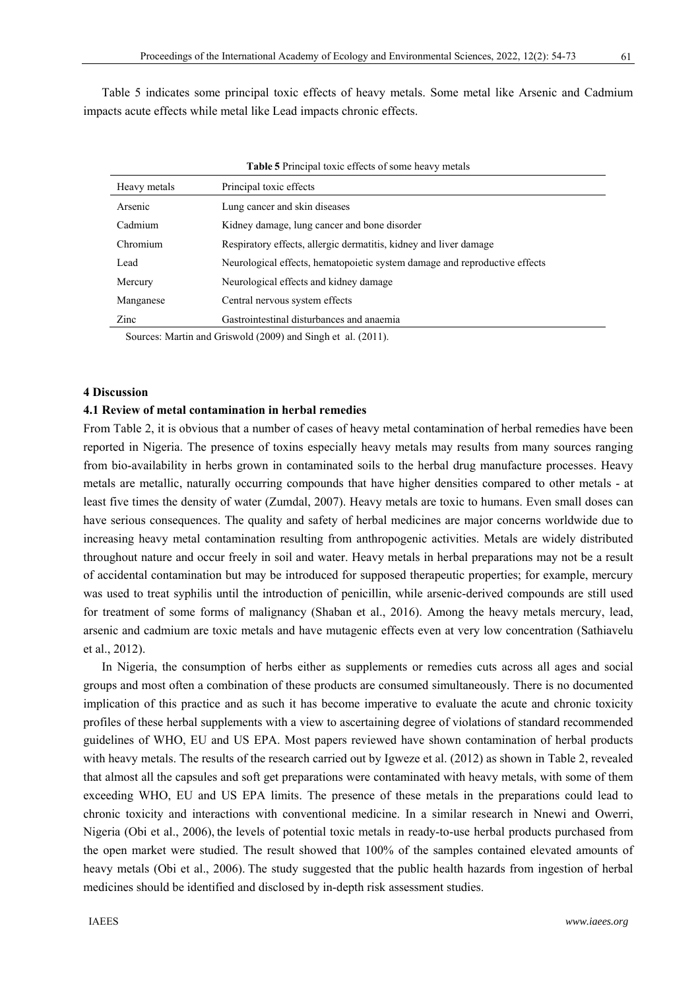Table 5 indicates some principal toxic effects of heavy metals. Some metal like Arsenic and Cadmium impacts acute effects while metal like Lead impacts chronic effects.

| <b>Table 5</b> Principal toxic effects of some heavy metals                               |                                                                            |  |
|-------------------------------------------------------------------------------------------|----------------------------------------------------------------------------|--|
| Heavy metals                                                                              | Principal toxic effects                                                    |  |
| Arsenic                                                                                   | Lung cancer and skin diseases                                              |  |
| Cadmium                                                                                   | Kidney damage, lung cancer and bone disorder                               |  |
| Chromium                                                                                  | Respiratory effects, allergic dermatitis, kidney and liver damage          |  |
| Lead                                                                                      | Neurological effects, hematopoietic system damage and reproductive effects |  |
| Mercury                                                                                   | Neurological effects and kidney damage                                     |  |
| Manganese                                                                                 | Central nervous system effects                                             |  |
| Zinc                                                                                      | Gastrointestinal disturbances and anaemia                                  |  |
| $S_{\text{oucoov}}$ Mortin and $C_{\text{meas}}$ (2000) and $S_{\text{in}}$ at al. (2011) |                                                                            |  |

Sources: Martin and Griswold (2009) and Singh et al. (2011).

## **4 Discussion**

# **4.1 Review of metal contamination in herbal remedies**

From Table 2, it is obvious that a number of cases of heavy metal contamination of herbal remedies have been reported in Nigeria. The presence of toxins especially heavy metals may results from many sources ranging from bio-availability in herbs grown in contaminated soils to the herbal drug manufacture processes. Heavy metals are metallic, naturally occurring compounds that have higher densities compared to other metals - at least five times the density of water (Zumdal, 2007). Heavy metals are toxic to humans. Even small doses can have serious consequences. The quality and safety of herbal medicines are major concerns worldwide due to increasing heavy metal contamination resulting from anthropogenic activities. Metals are widely distributed throughout nature and occur freely in soil and water. Heavy metals in herbal preparations may not be a result of accidental contamination but may be introduced for supposed therapeutic properties; for example, mercury was used to treat syphilis until the introduction of penicillin, while arsenic-derived compounds are still used for treatment of some forms of malignancy (Shaban et al., 2016). Among the heavy metals mercury, lead, arsenic and cadmium are toxic metals and have mutagenic effects even at very low concentration (Sathiavelu et al., 2012).

In Nigeria, the consumption of herbs either as supplements or remedies cuts across all ages and social groups and most often a combination of these products are consumed simultaneously. There is no documented implication of this practice and as such it has become imperative to evaluate the acute and chronic toxicity profiles of these herbal supplements with a view to ascertaining degree of violations of standard recommended guidelines of WHO, EU and US EPA. Most papers reviewed have shown contamination of herbal products with heavy metals. The results of the research carried out by Igweze et al. (2012) as shown in Table 2, revealed that almost all the capsules and soft get preparations were contaminated with heavy metals, with some of them exceeding WHO, EU and US EPA limits. The presence of these metals in the preparations could lead to chronic toxicity and interactions with conventional medicine. In a similar research in Nnewi and Owerri, Nigeria (Obi et al., 2006), the levels of potential toxic metals in ready-to-use herbal products purchased from the open market were studied. The result showed that 100% of the samples contained elevated amounts of heavy metals (Obi et al., 2006). The study suggested that the public health hazards from ingestion of herbal medicines should be identified and disclosed by in-depth risk assessment studies.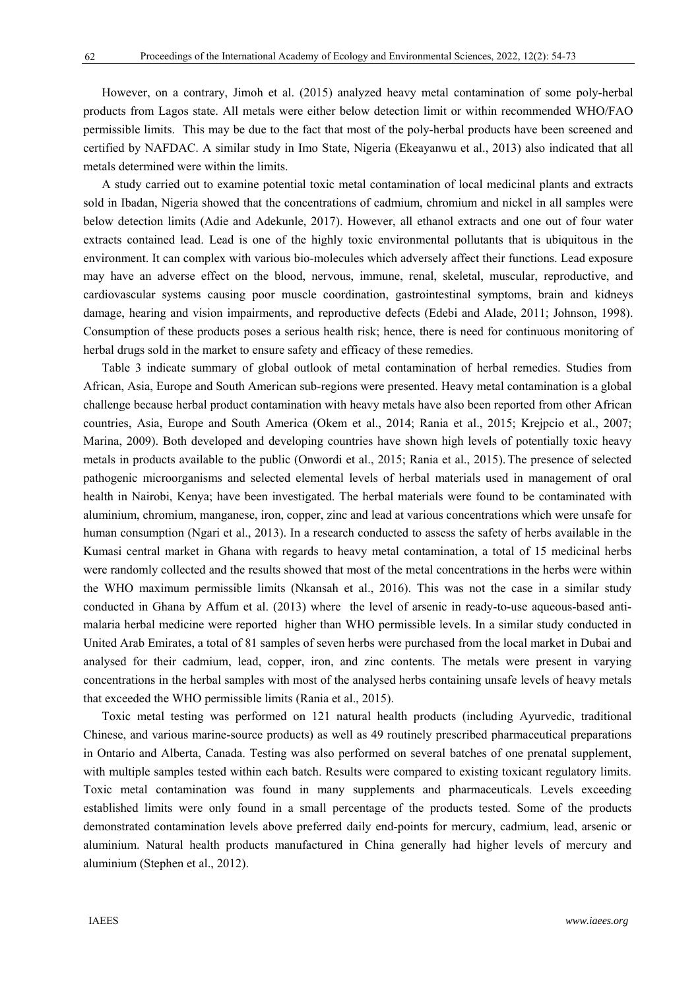However, on a contrary, Jimoh et al. (2015) analyzed heavy metal contamination of some poly-herbal products from Lagos state. All metals were either below detection limit or within recommended WHO/FAO permissible limits. This may be due to the fact that most of the poly-herbal products have been screened and certified by NAFDAC. A similar study in Imo State, Nigeria (Ekeayanwu et al., 2013) also indicated that all metals determined were within the limits.

A study carried out to examine potential toxic metal contamination of local medicinal plants and extracts sold in Ibadan, Nigeria showed that the concentrations of cadmium, chromium and nickel in all samples were below detection limits (Adie and Adekunle, 2017). However, all ethanol extracts and one out of four water extracts contained lead. Lead is one of the highly toxic environmental pollutants that is ubiquitous in the environment. It can complex with various bio-molecules which adversely affect their functions. Lead exposure may have an adverse effect on the blood, nervous, immune, renal, skeletal, muscular, reproductive, and cardiovascular systems causing poor muscle coordination, gastrointestinal symptoms, brain and kidneys damage, hearing and vision impairments, and reproductive defects (Edebi and Alade, 2011; Johnson, 1998). Consumption of these products poses a serious health risk; hence, there is need for continuous monitoring of herbal drugs sold in the market to ensure safety and efficacy of these remedies.

Table 3 indicate summary of global outlook of metal contamination of herbal remedies. Studies from African, Asia, Europe and South American sub-regions were presented. Heavy metal contamination is a global challenge because herbal product contamination with heavy metals have also been reported from other African countries, Asia, Europe and South America (Okem et al., 2014; Rania et al., 2015; Krejpcio et al., 2007; Marina, 2009). Both developed and developing countries have shown high levels of potentially toxic heavy metals in products available to the public (Onwordi et al., 2015; Rania et al., 2015). The presence of selected pathogenic microorganisms and selected elemental levels of herbal materials used in management of oral health in Nairobi, Kenya; have been investigated. The herbal materials were found to be contaminated with aluminium, chromium, manganese, iron, copper, zinc and lead at various concentrations which were unsafe for human consumption (Ngari et al., 2013). In a research conducted to assess the safety of herbs available in the Kumasi central market in Ghana with regards to heavy metal contamination, a total of 15 medicinal herbs were randomly collected and the results showed that most of the metal concentrations in the herbs were within the WHO maximum permissible limits (Nkansah et al., 2016). This was not the case in a similar study conducted in Ghana by Affum et al. (2013) where the level of arsenic in ready-to-use aqueous-based antimalaria herbal medicine were reported higher than WHO permissible levels. In a similar study conducted in United Arab Emirates, a total of 81 samples of seven herbs were purchased from the local market in Dubai and analysed for their cadmium, lead, copper, iron, and zinc contents. The metals were present in varying concentrations in the herbal samples with most of the analysed herbs containing unsafe levels of heavy metals that exceeded the WHO permissible limits (Rania et al., 2015).

Toxic metal testing was performed on 121 natural health products (including Ayurvedic, traditional Chinese, and various marine-source products) as well as 49 routinely prescribed pharmaceutical preparations in Ontario and Alberta, Canada. Testing was also performed on several batches of one prenatal supplement, with multiple samples tested within each batch. Results were compared to existing toxicant regulatory limits. Toxic metal contamination was found in many supplements and pharmaceuticals. Levels exceeding established limits were only found in a small percentage of the products tested. Some of the products demonstrated contamination levels above preferred daily end-points for mercury, cadmium, lead, arsenic or aluminium. Natural health products manufactured in China generally had higher levels of mercury and aluminium (Stephen et al., 2012).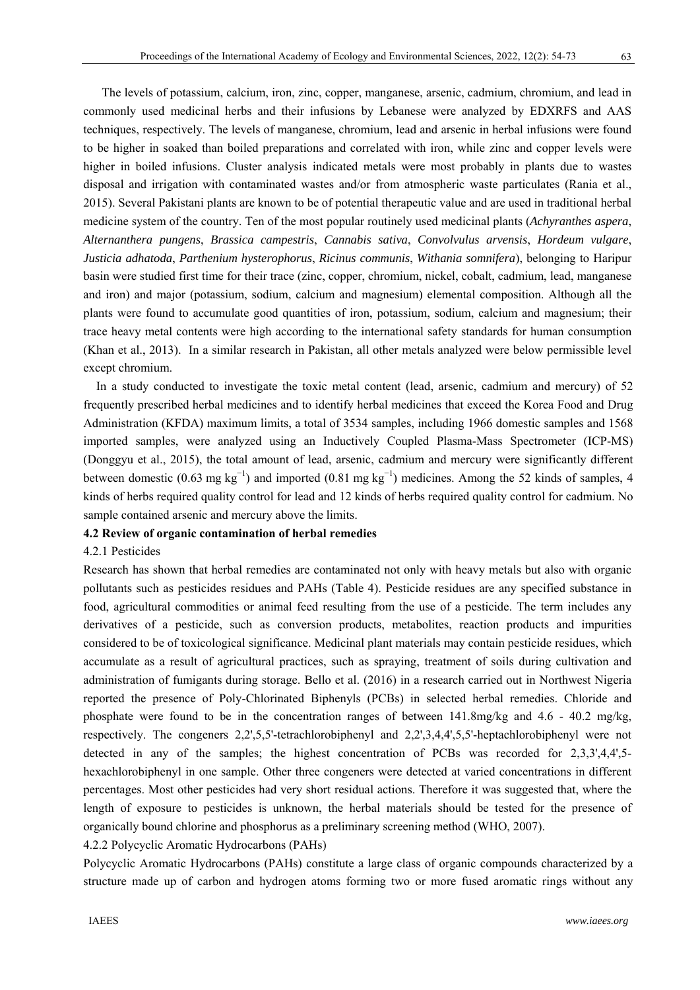The levels of potassium, calcium, iron, zinc, copper, manganese, arsenic, cadmium, chromium, and lead in commonly used medicinal herbs and their infusions by Lebanese were analyzed by EDXRFS and AAS techniques, respectively. The levels of manganese, chromium, lead and arsenic in herbal infusions were found to be higher in soaked than boiled preparations and correlated with iron, while zinc and copper levels were higher in boiled infusions. Cluster analysis indicated metals were most probably in plants due to wastes disposal and irrigation with contaminated wastes and/or from atmospheric waste particulates (Rania et al., 2015). Several Pakistani plants are known to be of potential therapeutic value and are used in traditional herbal medicine system of the country. Ten of the most popular routinely used medicinal plants (*Achyranthes aspera*, *Alternanthera pungens*, *Brassica campestris*, *Cannabis sativa*, *Convolvulus arvensis*, *Hordeum vulgare*, *Justicia adhatoda*, *Parthenium hysterophorus*, *Ricinus communis*, *Withania somnifera*), belonging to Haripur basin were studied first time for their trace (zinc, copper, chromium, nickel, cobalt, cadmium, lead, manganese and iron) and major (potassium, sodium, calcium and magnesium) elemental composition. Although all the plants were found to accumulate good quantities of iron, potassium, sodium, calcium and magnesium; their trace heavy metal contents were high according to the international safety standards for human consumption (Khan et al., 2013). In a similar research in Pakistan, all other metals analyzed were below permissible level except chromium.

In a study conducted to investigate the toxic metal content (lead, arsenic, cadmium and mercury) of 52 frequently prescribed herbal medicines and to identify herbal medicines that exceed the Korea Food and Drug Administration (KFDA) maximum limits, a total of 3534 samples, including 1966 domestic samples and 1568 imported samples, were analyzed using an Inductively Coupled Plasma-Mass Spectrometer (ICP-MS) (Donggyu et al., 2015), the total amount of lead, arsenic, cadmium and mercury were significantly different between domestic (0.63 mg kg<sup>-1</sup>) and imported (0.81 mg kg<sup>-1</sup>) medicines. Among the 52 kinds of samples, 4 kinds of herbs required quality control for lead and 12 kinds of herbs required quality control for cadmium. No sample contained arsenic and mercury above the limits.

# **4.2 Review of organic contamination of herbal remedies**

## 4.2.1 Pesticides

Research has shown that herbal remedies are contaminated not only with heavy metals but also with organic pollutants such as pesticides residues and PAHs (Table 4). Pesticide residues are any specified substance in food, agricultural commodities or animal feed resulting from the use of a pesticide. The term includes any derivatives of a pesticide, such as conversion products, metabolites, reaction products and impurities considered to be of toxicological significance. Medicinal plant materials may contain pesticide residues, which accumulate as a result of agricultural practices, such as spraying, treatment of soils during cultivation and administration of fumigants during storage. Bello et al. (2016) in a research carried out in Northwest Nigeria reported the presence of Poly-Chlorinated Biphenyls (PCBs) in selected herbal remedies. Chloride and phosphate were found to be in the concentration ranges of between  $141.8$ mg/kg and  $4.6 - 40.2$  mg/kg, respectively. The congeners 2,2',5,5'-tetrachlorobiphenyl and 2,2',3,4,4',5,5'-heptachlorobiphenyl were not detected in any of the samples; the highest concentration of PCBs was recorded for 2,3,3',4,4',5hexachlorobiphenyl in one sample. Other three congeners were detected at varied concentrations in different percentages. Most other pesticides had very short residual actions. Therefore it was suggested that, where the length of exposure to pesticides is unknown, the herbal materials should be tested for the presence of organically bound chlorine and phosphorus as a preliminary screening method (WHO, 2007).

4.2.2 Polycyclic Aromatic Hydrocarbons (PAHs)

Polycyclic Aromatic Hydrocarbons (PAHs) constitute a large class of organic compounds characterized by a structure made up of carbon and hydrogen atoms forming two or more fused aromatic rings without any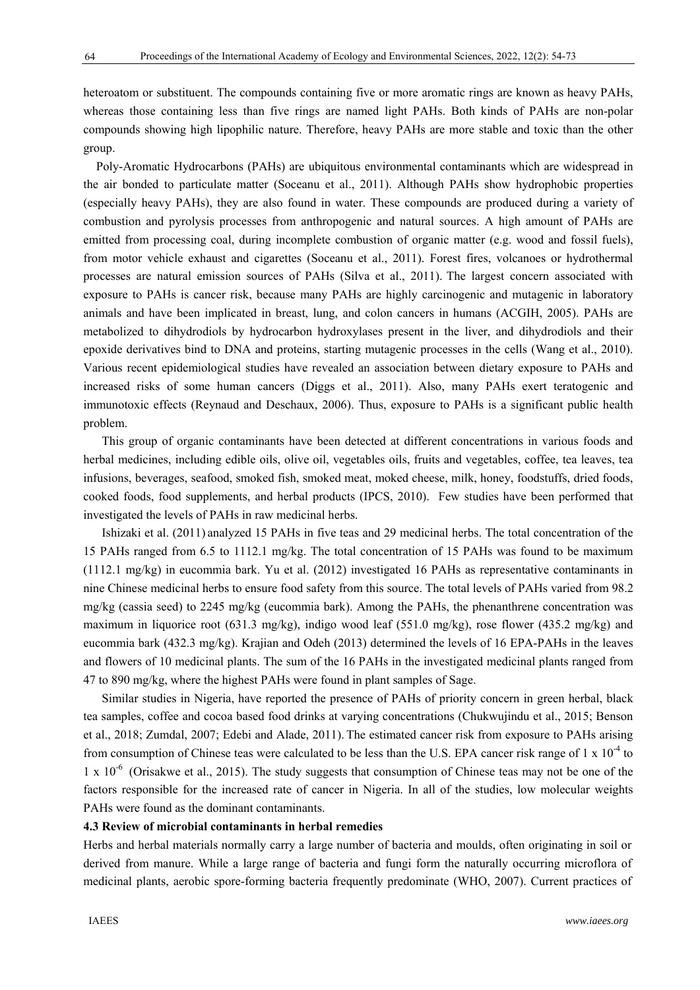heteroatom or substituent. The compounds containing five or more aromatic rings are known as heavy PAHs, whereas those containing less than five rings are named light PAHs. Both kinds of PAHs are non-polar compounds showing high lipophilic nature. Therefore, heavy PAHs are more stable and toxic than the other group.

Poly-Aromatic Hydrocarbons (PAHs) are ubiquitous environmental contaminants which are widespread in the air bonded to particulate matter (Soceanu et al., 2011). Although PAHs show hydrophobic properties (especially heavy PAHs), they are also found in water. These compounds are produced during a variety of combustion and pyrolysis processes from anthropogenic and natural sources. A high amount of PAHs are emitted from processing coal, during incomplete combustion of organic matter (e.g. wood and fossil fuels), from motor vehicle exhaust and cigarettes (Soceanu et al., 2011). Forest fires, volcanoes or hydrothermal processes are natural emission sources of PAHs (Silva et al., 2011). The largest concern associated with exposure to PAHs is cancer risk, because many PAHs are highly carcinogenic and mutagenic in laboratory animals and have been implicated in breast, lung, and colon cancers in humans (ACGIH, 2005). PAHs are metabolized to dihydrodiols by hydrocarbon hydroxylases present in the liver, and dihydrodiols and their epoxide derivatives bind to DNA and proteins, starting mutagenic processes in the cells (Wang et al., 2010). Various recent epidemiological studies have revealed an association between dietary exposure to PAHs and increased risks of some human cancers (Diggs et al., 2011). Also, many PAHs exert teratogenic and immunotoxic effects (Reynaud and Deschaux, 2006). Thus, exposure to PAHs is a significant public health problem.

This group of organic contaminants have been detected at different concentrations in various foods and herbal medicines, including edible oils, olive oil, vegetables oils, fruits and vegetables, coffee, tea leaves, tea infusions, beverages, seafood, smoked fish, smoked meat, moked cheese, milk, honey, foodstuffs, dried foods, cooked foods, food supplements, and herbal products (IPCS, 2010). Few studies have been performed that investigated the levels of PAHs in raw medicinal herbs.

Ishizaki et al. (2011) analyzed 15 PAHs in five teas and 29 medicinal herbs. The total concentration of the 15 PAHs ranged from 6.5 to 1112.1 mg/kg. The total concentration of 15 PAHs was found to be maximum (1112.1 mg/kg) in eucommia bark. Yu et al. (2012) investigated 16 PAHs as representative contaminants in nine Chinese medicinal herbs to ensure food safety from this source. The total levels of PAHs varied from 98.2 mg/kg (cassia seed) to 2245 mg/kg (eucommia bark). Among the PAHs, the phenanthrene concentration was maximum in liquorice root (631.3 mg/kg), indigo wood leaf (551.0 mg/kg), rose flower (435.2 mg/kg) and eucommia bark (432.3 mg/kg). Krajian and Odeh (2013) determined the levels of 16 EPA-PAHs in the leaves and flowers of 10 medicinal plants. The sum of the 16 PAHs in the investigated medicinal plants ranged from 47 to 890 mg/kg, where the highest PAHs were found in plant samples of Sage.

Similar studies in Nigeria, have reported the presence of PAHs of priority concern in green herbal, black tea samples, coffee and cocoa based food drinks at varying concentrations (Chukwujindu et al., 2015; Benson et al., 2018; Zumdal, 2007; Edebi and Alade, 2011). The estimated cancer risk from exposure to PAHs arising from consumption of Chinese teas were calculated to be less than the U.S. EPA cancer risk range of 1 x  $10^{-4}$  to  $1 \times 10^{-6}$  (Orisakwe et al., 2015). The study suggests that consumption of Chinese teas may not be one of the factors responsible for the increased rate of cancer in Nigeria. In all of the studies, low molecular weights PAHs were found as the dominant contaminants.

# **4.3 Review of microbial contaminants in herbal remedies**

Herbs and herbal materials normally carry a large number of bacteria and moulds, often originating in soil or derived from manure. While a large range of bacteria and fungi form the naturally occurring microflora of medicinal plants, aerobic spore-forming bacteria frequently predominate (WHO, 2007). Current practices of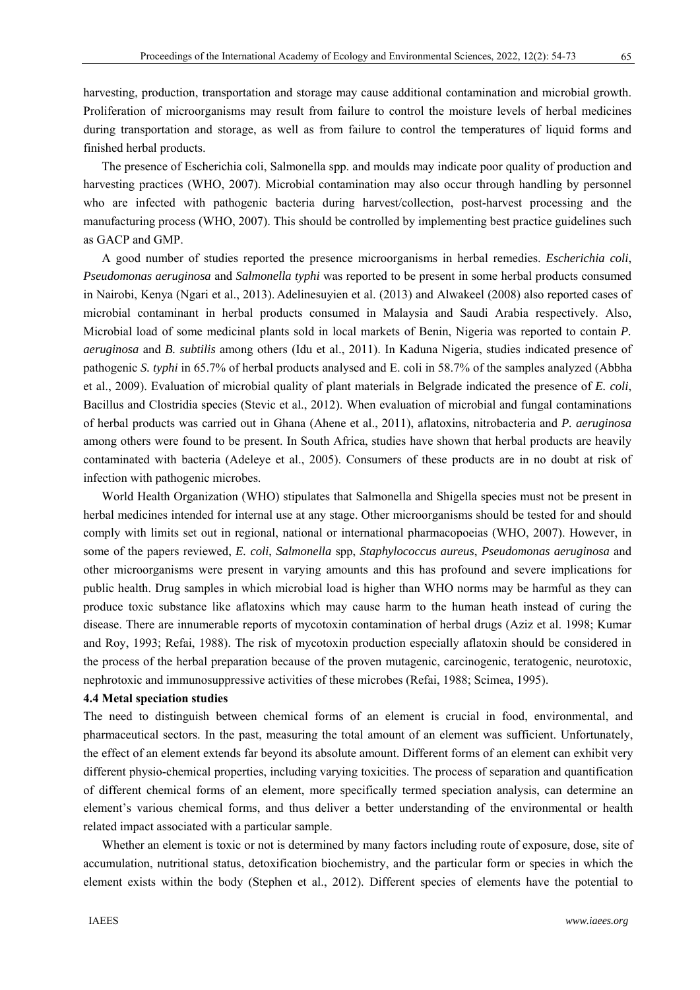harvesting, production, transportation and storage may cause additional contamination and microbial growth. Proliferation of microorganisms may result from failure to control the moisture levels of herbal medicines during transportation and storage, as well as from failure to control the temperatures of liquid forms and finished herbal products.

The presence of Escherichia coli, Salmonella spp. and moulds may indicate poor quality of production and harvesting practices (WHO, 2007). Microbial contamination may also occur through handling by personnel who are infected with pathogenic bacteria during harvest/collection, post-harvest processing and the manufacturing process (WHO, 2007). This should be controlled by implementing best practice guidelines such as GACP and GMP.

A good number of studies reported the presence microorganisms in herbal remedies. *Escherichia coli*, *Pseudomonas aeruginosa* and *Salmonella typhi* was reported to be present in some herbal products consumed in Nairobi, Kenya (Ngari et al., 2013). Adelinesuyien et al. (2013) and Alwakeel (2008) also reported cases of microbial contaminant in herbal products consumed in Malaysia and Saudi Arabia respectively. Also, Microbial load of some medicinal plants sold in local markets of Benin, Nigeria was reported to contain *P. aeruginosa* and *B. subtilis* among others (Idu et al., 2011). In Kaduna Nigeria, studies indicated presence of pathogenic *S. typhi* in 65.7% of herbal products analysed and E. coli in 58.7% of the samples analyzed (Abbha et al., 2009). Evaluation of microbial quality of plant materials in Belgrade indicated the presence of *E. coli*, Bacillus and Clostridia species (Stevic et al., 2012). When evaluation of microbial and fungal contaminations of herbal products was carried out in Ghana (Ahene et al., 2011), aflatoxins, nitrobacteria and *P. aeruginosa*  among others were found to be present. In South Africa, studies have shown that herbal products are heavily contaminated with bacteria (Adeleye et al., 2005). Consumers of these products are in no doubt at risk of infection with pathogenic microbes.

World Health Organization (WHO) stipulates that Salmonella and Shigella species must not be present in herbal medicines intended for internal use at any stage. Other microorganisms should be tested for and should comply with limits set out in regional, national or international pharmacopoeias (WHO, 2007). However, in some of the papers reviewed, *E. coli*, *Salmonella* spp, *Staphylococcus aureus*, *Pseudomonas aeruginosa* and other microorganisms were present in varying amounts and this has profound and severe implications for public health. Drug samples in which microbial load is higher than WHO norms may be harmful as they can produce toxic substance like aflatoxins which may cause harm to the human heath instead of curing the disease. There are innumerable reports of mycotoxin contamination of herbal drugs (Aziz et al. 1998; Kumar and Roy, 1993; Refai, 1988). The risk of mycotoxin production especially aflatoxin should be considered in the process of the herbal preparation because of the proven mutagenic, carcinogenic, teratogenic, neurotoxic, nephrotoxic and immunosuppressive activities of these microbes (Refai, 1988; Scimea, 1995).

#### **4.4 Metal speciation studies**

The need to distinguish between chemical forms of an element is crucial in food, environmental, and pharmaceutical sectors. In the past, measuring the total amount of an element was sufficient. Unfortunately, the effect of an element extends far beyond its absolute amount. Different forms of an element can exhibit very different physio-chemical properties, including varying toxicities. The process of separation and quantification of different chemical forms of an element, more specifically termed speciation analysis, can determine an element's various chemical forms, and thus deliver a better understanding of the environmental or health related impact associated with a particular sample.

Whether an element is toxic or not is determined by many factors including route of exposure, dose, site of accumulation, nutritional status, detoxification biochemistry, and the particular form or species in which the element exists within the body (Stephen et al., 2012). Different species of elements have the potential to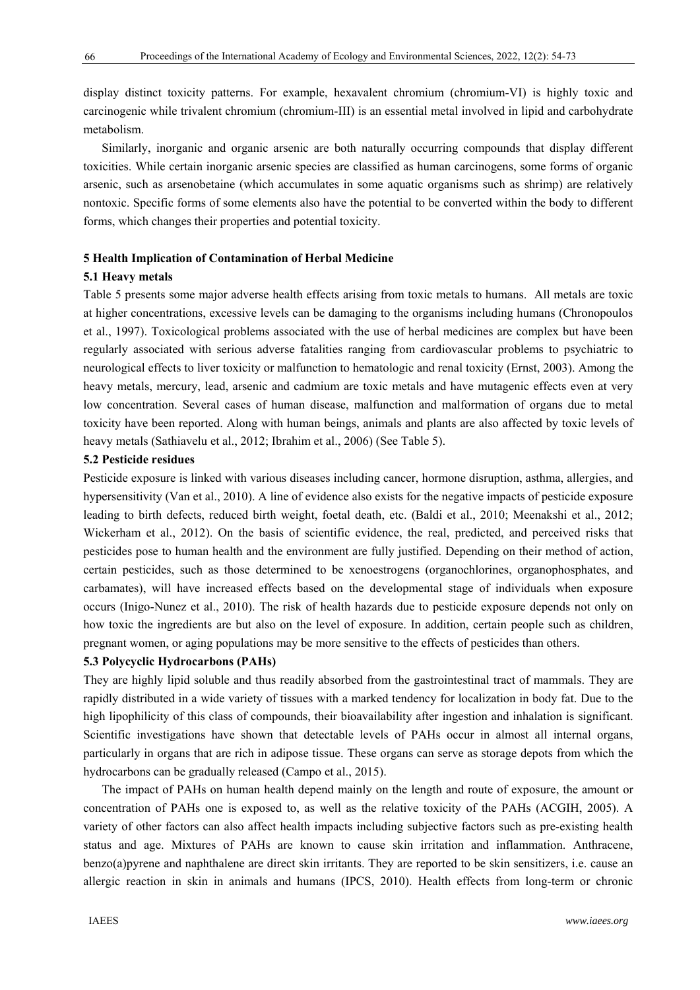66

display distinct toxicity patterns. For example, hexavalent chromium (chromium-VI) is highly toxic and carcinogenic while trivalent chromium (chromium-III) is an essential metal involved in lipid and carbohydrate metabolism.

Similarly, inorganic and organic arsenic are both naturally occurring compounds that display different toxicities. While certain inorganic arsenic species are classified as human carcinogens, some forms of organic arsenic, such as arsenobetaine (which accumulates in some aquatic organisms such as shrimp) are relatively nontoxic. Specific forms of some elements also have the potential to be converted within the body to different forms, which changes their properties and potential toxicity.

# **5 Health Implication of Contamination of Herbal Medicine**

# **5.1 Heavy metals**

Table 5 presents some major adverse health effects arising from toxic metals to humans. All metals are toxic at higher concentrations, excessive levels can be damaging to the organisms including humans (Chronopoulos et al., 1997). Toxicological problems associated with the use of herbal medicines are complex but have been regularly associated with serious adverse fatalities ranging from cardiovascular problems to psychiatric to neurological effects to liver toxicity or malfunction to hematologic and renal toxicity (Ernst, 2003). Among the heavy metals, mercury, lead, arsenic and cadmium are toxic metals and have mutagenic effects even at very low concentration. Several cases of human disease, malfunction and malformation of organs due to metal toxicity have been reported. Along with human beings, animals and plants are also affected by toxic levels of heavy metals (Sathiavelu et al., 2012; Ibrahim et al., 2006) (See Table 5).

# **5.2 Pesticide residues**

Pesticide exposure is linked with various diseases including cancer, hormone disruption, asthma, allergies, and hypersensitivity (Van et al., 2010). A line of evidence also exists for the negative impacts of pesticide exposure leading to birth defects, reduced birth weight, foetal death, etc. (Baldi et al., 2010; Meenakshi et al., 2012; Wickerham et al., 2012). On the basis of scientific evidence, the real, predicted, and perceived risks that pesticides pose to human health and the environment are fully justified. Depending on their method of action, certain pesticides, such as those determined to be xenoestrogens (organochlorines, organophosphates, and carbamates), will have increased effects based on the developmental stage of individuals when exposure occurs (Inigo-Nunez et al., 2010). The risk of health hazards due to pesticide exposure depends not only on how toxic the ingredients are but also on the level of exposure. In addition, certain people such as children, pregnant women, or aging populations may be more sensitive to the effects of pesticides than others.

# **5.3 Polycyclic Hydrocarbons (PAHs)**

They are highly lipid soluble and thus readily absorbed from the gastrointestinal tract of mammals. They are rapidly distributed in a wide variety of tissues with a marked tendency for localization in body fat. Due to the high lipophilicity of this class of compounds, their bioavailability after ingestion and inhalation is significant. Scientific investigations have shown that detectable levels of PAHs occur in almost all internal organs, particularly in organs that are rich in adipose tissue. These organs can serve as storage depots from which the hydrocarbons can be gradually released (Campo et al., 2015).

The impact of PAHs on human health depend mainly on the length and route of exposure, the amount or concentration of PAHs one is exposed to, as well as the relative toxicity of the PAHs (ACGIH, 2005). A variety of other factors can also affect health impacts including subjective factors such as pre-existing health status and age. Mixtures of PAHs are known to cause skin irritation and inflammation. Anthracene, benzo(a)pyrene and naphthalene are direct skin irritants. They are reported to be skin sensitizers, i.e. cause an allergic reaction in skin in animals and humans (IPCS, 2010). Health effects from long-term or chronic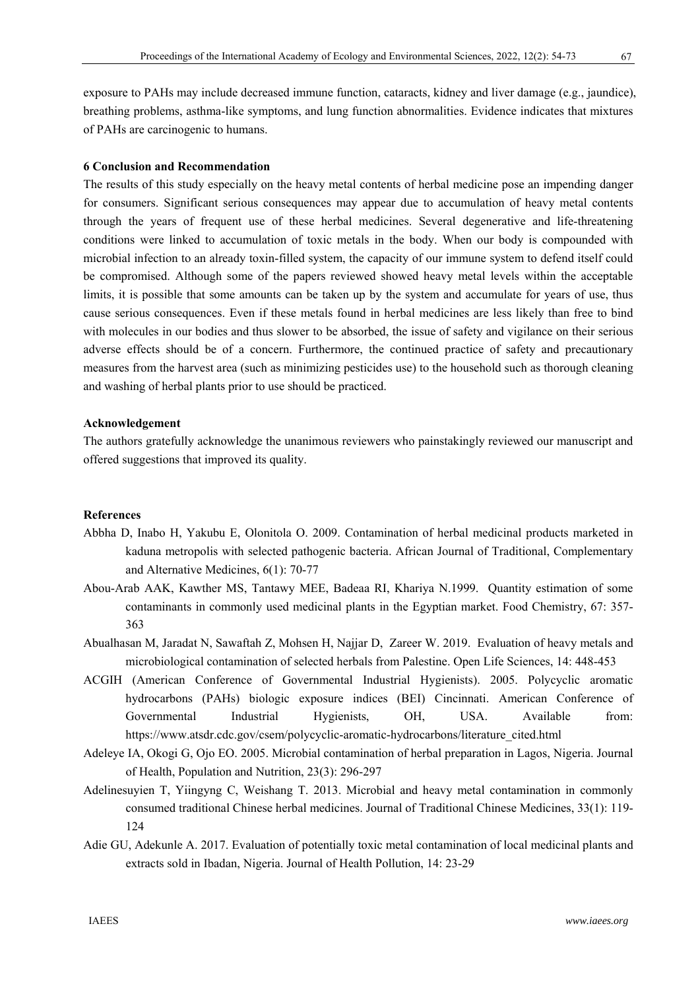exposure to PAHs may include decreased immune function, cataracts, kidney and liver damage (e.g., jaundice), breathing problems, asthma-like symptoms, and lung function abnormalities. Evidence indicates that mixtures of PAHs are carcinogenic to humans.

# **6 Conclusion and Recommendation**

The results of this study especially on the heavy metal contents of herbal medicine pose an impending danger for consumers. Significant serious consequences may appear due to accumulation of heavy metal contents through the years of frequent use of these herbal medicines. Several degenerative and life-threatening conditions were linked to accumulation of toxic metals in the body. When our body is compounded with microbial infection to an already toxin-filled system, the capacity of our immune system to defend itself could be compromised. Although some of the papers reviewed showed heavy metal levels within the acceptable limits, it is possible that some amounts can be taken up by the system and accumulate for years of use, thus cause serious consequences. Even if these metals found in herbal medicines are less likely than free to bind with molecules in our bodies and thus slower to be absorbed, the issue of safety and vigilance on their serious adverse effects should be of a concern. Furthermore, the continued practice of safety and precautionary measures from the harvest area (such as minimizing pesticides use) to the household such as thorough cleaning and washing of herbal plants prior to use should be practiced.

# **Acknowledgement**

The authors gratefully acknowledge the unanimous reviewers who painstakingly reviewed our manuscript and offered suggestions that improved its quality.

### **References**

- Abbha D, Inabo H, Yakubu E, Olonitola O. 2009. Contamination of herbal medicinal products marketed in kaduna metropolis with selected pathogenic bacteria. African Journal of Traditional, Complementary and Alternative Medicines, 6(1): 70-77
- Abou-Arab AAK, Kawther MS, Tantawy MEE, Badeaa RI, Khariya N.1999. Quantity estimation of some contaminants in commonly used medicinal plants in the Egyptian market. Food Chemistry, 67: 357- 363
- Abualhasan M, Jaradat N, Sawaftah Z, Mohsen H, Najjar D, Zareer W. 2019. Evaluation of heavy metals and microbiological contamination of selected herbals from Palestine. Open Life Sciences, 14: 448-453
- ACGIH (American Conference of Governmental Industrial Hygienists). 2005. Polycyclic aromatic hydrocarbons (PAHs) biologic exposure indices (BEI) Cincinnati. American Conference of Governmental Industrial Hygienists, OH, USA. Available from: https://www.atsdr.cdc.gov/csem/polycyclic-aromatic-hydrocarbons/literature\_cited.html
- Adeleye IA, Okogi G, Ojo EO. 2005. Microbial contamination of herbal preparation in Lagos, Nigeria. Journal of Health, Population and Nutrition, 23(3): 296-297
- Adelinesuyien T, Yiingyng C, Weishang T. 2013. Microbial and heavy metal contamination in commonly consumed traditional Chinese herbal medicines. Journal of Traditional Chinese Medicines, 33(1): 119- 124
- Adie GU, Adekunle A. 2017. Evaluation of potentially toxic metal contamination of local medicinal plants and extracts sold in Ibadan, Nigeria. Journal of Health Pollution, 14: 23-29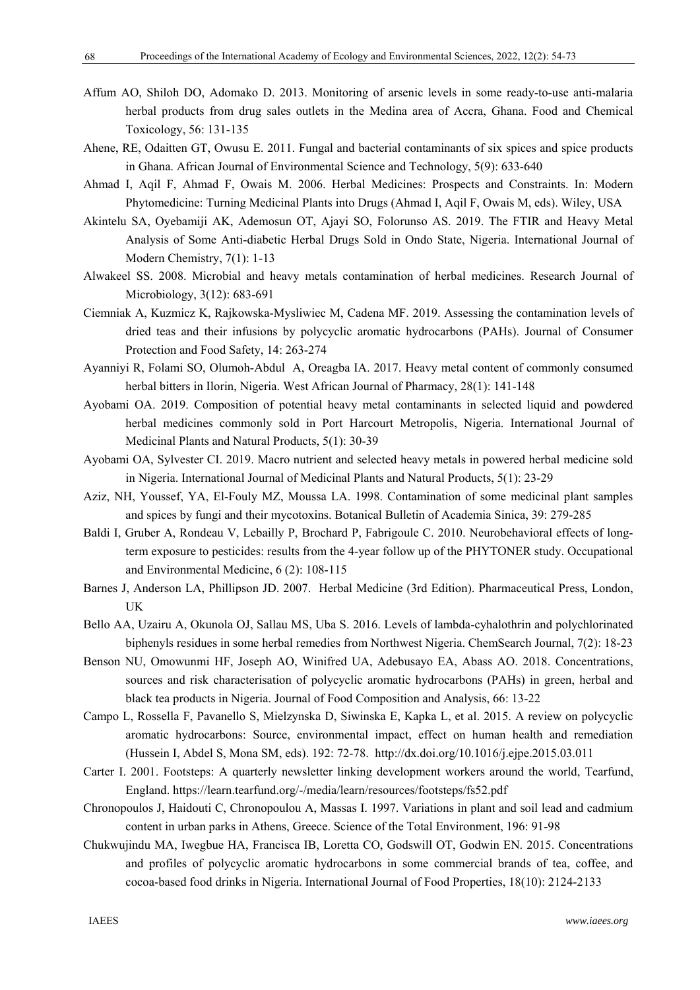- Affum AO, Shiloh DO, Adomako D. 2013. Monitoring of arsenic levels in some ready-to-use anti-malaria herbal products from drug sales outlets in the Medina area of Accra, Ghana. Food and Chemical Toxicology, 56: 131-135
- Ahene, RE, Odaitten GT, Owusu E. 2011. Fungal and bacterial contaminants of six spices and spice products in Ghana. African Journal of Environmental Science and Technology, 5(9): 633-640
- Ahmad I, Aqil F, Ahmad F, Owais M. 2006. Herbal Medicines: Prospects and Constraints. In: Modern Phytomedicine: Turning Medicinal Plants into Drugs (Ahmad I, Aqil F, Owais M, eds). Wiley, USA
- Akintelu SA, Oyebamiji AK, Ademosun OT, Ajayi SO, Folorunso AS. 2019. The FTIR and Heavy Metal Analysis of Some Anti-diabetic Herbal Drugs Sold in Ondo State, Nigeria. International Journal of Modern Chemistry, 7(1): 1-13
- Alwakeel SS. 2008. Microbial and heavy metals contamination of herbal medicines. Research Journal of Microbiology, 3(12): 683-691
- Ciemniak A, Kuzmicz K, Rajkowska-Mysliwiec M, Cadena MF. 2019. Assessing the contamination levels of dried teas and their infusions by polycyclic aromatic hydrocarbons (PAHs). Journal of Consumer Protection and Food Safety, 14: 263-274
- Ayanniyi R, Folami SO, Olumoh-Abdul A, Oreagba IA. 2017. Heavy metal content of commonly consumed herbal bitters in Ilorin, Nigeria. West African Journal of Pharmacy, 28(1): 141-148
- Ayobami OA. 2019. Composition of potential heavy metal contaminants in selected liquid and powdered herbal medicines commonly sold in Port Harcourt Metropolis, Nigeria. International Journal of Medicinal Plants and Natural Products, 5(1): 30-39
- Ayobami OA, Sylvester CI. 2019. Macro nutrient and selected heavy metals in powered herbal medicine sold in Nigeria. International Journal of Medicinal Plants and Natural Products, 5(1): 23-29
- Aziz, NH, Youssef, YA, El-Fouly MZ, Moussa LA. 1998. Contamination of some medicinal plant samples and spices by fungi and their mycotoxins. Botanical Bulletin of Academia Sinica, 39: 279-285
- Baldi I, Gruber A, Rondeau V, Lebailly P, Brochard P, Fabrigoule C. 2010. Neurobehavioral effects of longterm exposure to pesticides: results from the 4-year follow up of the PHYTONER study. Occupational and Environmental Medicine, 6 (2): 108-115
- Barnes J, Anderson LA, Phillipson JD. 2007. Herbal Medicine (3rd Edition). Pharmaceutical Press, London, UK
- Bello AA, Uzairu A, Okunola OJ, Sallau MS, Uba S. 2016. Levels of lambda-cyhalothrin and polychlorinated biphenyls residues in some herbal remedies from Northwest Nigeria. ChemSearch Journal, 7(2): 18-23
- Benson NU, Omowunmi HF, Joseph AO, Winifred UA, Adebusayo EA, Abass AO. 2018. Concentrations, sources and risk characterisation of polycyclic aromatic hydrocarbons (PAHs) in green, herbal and black tea products in Nigeria. Journal of Food Composition and Analysis, 66: 13-22
- Campo L, Rossella F, Pavanello S, Mielzynska D, Siwinska E, Kapka L, et al. 2015. A review on polycyclic aromatic hydrocarbons: Source, environmental impact, effect on human health and remediation (Hussein I, Abdel S, Mona SM, eds). 192: 72-78. http://dx.doi.org/10.1016/j.ejpe.2015.03.011
- Carter I. 2001. Footsteps: A quarterly newsletter linking development workers around the world, Tearfund, England. https://learn.tearfund.org/-/media/learn/resources/footsteps/fs52.pdf
- Chronopoulos J, Haidouti C, Chronopoulou A, Massas I. 1997. Variations in plant and soil lead and cadmium content in urban parks in Athens, Greece. Science of the Total Environment, 196: 91-98
- Chukwujindu MA, Iwegbue HA, Francisca IB, Loretta CO, Godswill OT, Godwin EN. 2015. Concentrations and profiles of polycyclic aromatic hydrocarbons in some commercial brands of tea, coffee, and cocoa-based food drinks in Nigeria. International Journal of Food Properties, 18(10): 2124-2133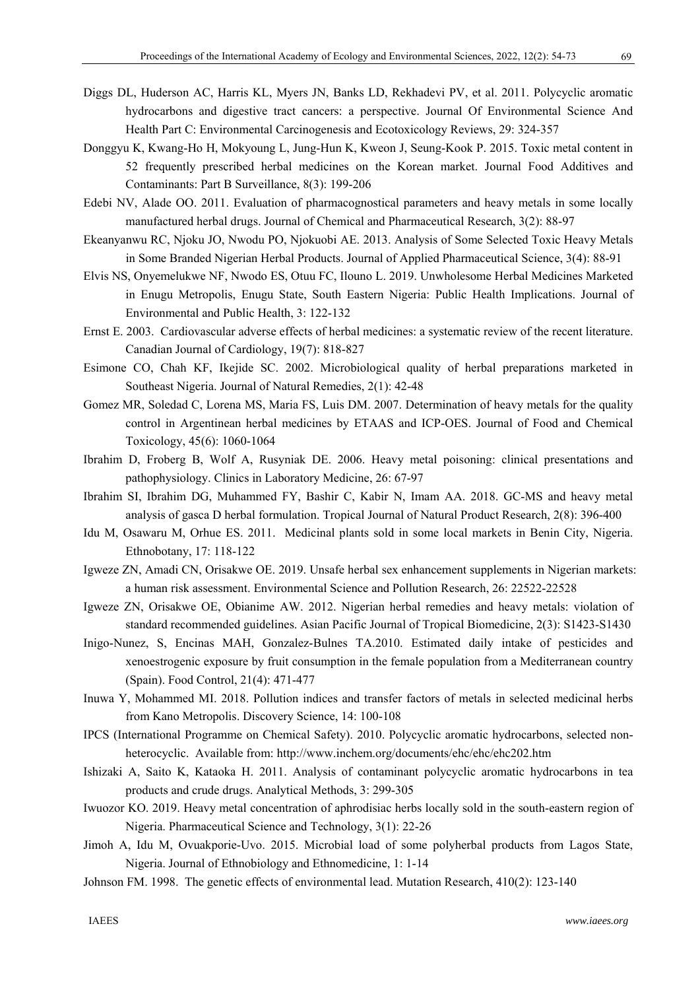- Diggs DL, Huderson AC, Harris KL, Myers JN, Banks LD, Rekhadevi PV, et al. 2011. Polycyclic aromatic hydrocarbons and digestive tract cancers: a perspective. Journal Of Environmental Science And Health Part C: Environmental Carcinogenesis and Ecotoxicology Reviews, 29: 324-357
- Donggyu K, Kwang-Ho H, Mokyoung L, Jung-Hun K, Kweon J, Seung-Kook P. 2015. Toxic metal content in 52 frequently prescribed herbal medicines on the Korean market. Journal Food Additives and Contaminants: Part B Surveillance, 8(3): 199-206
- Edebi NV, Alade OO. 2011. Evaluation of pharmacognostical parameters and heavy metals in some locally manufactured herbal drugs. Journal of Chemical and Pharmaceutical Research, 3(2): 88-97
- Ekeanyanwu RC, Njoku JO, Nwodu PO, Njokuobi AE. 2013. Analysis of Some Selected Toxic Heavy Metals in Some Branded Nigerian Herbal Products. Journal of Applied Pharmaceutical Science, 3(4): 88-91
- Elvis NS, Onyemelukwe NF, Nwodo ES, Otuu FC, Ilouno L. 2019. Unwholesome Herbal Medicines Marketed in Enugu Metropolis, Enugu State, South Eastern Nigeria: Public Health Implications. Journal of Environmental and Public Health, 3: 122-132
- Ernst E. 2003. Cardiovascular adverse effects of herbal medicines: a systematic review of the recent literature. Canadian Journal of Cardiology, 19(7): 818-827
- Esimone CO, Chah KF, Ikejide SC. 2002. Microbiological quality of herbal preparations marketed in Southeast Nigeria. Journal of Natural Remedies, 2(1): 42-48
- Gomez MR, Soledad C, Lorena MS, Maria FS, Luis DM. 2007. Determination of heavy metals for the quality control in Argentinean herbal medicines by ETAAS and ICP-OES. Journal of Food and Chemical Toxicology, 45(6): 1060-1064
- Ibrahim D, Froberg B, Wolf A, Rusyniak DE. 2006. Heavy metal poisoning: clinical presentations and pathophysiology. Clinics in Laboratory Medicine, 26: 67-97
- Ibrahim SI, Ibrahim DG, Muhammed FY, Bashir C, Kabir N, Imam AA. 2018. GC-MS and heavy metal analysis of gasca D herbal formulation. Tropical Journal of Natural Product Research, 2(8): 396-400
- Idu M, Osawaru M, Orhue ES. 2011. Medicinal plants sold in some local markets in Benin City, Nigeria. Ethnobotany, 17: 118-122
- Igweze ZN, Amadi CN, Orisakwe OE. 2019. Unsafe herbal sex enhancement supplements in Nigerian markets: a human risk assessment. Environmental Science and Pollution Research, 26: 22522-22528
- Igweze ZN, Orisakwe OE, Obianime AW. 2012. Nigerian herbal remedies and heavy metals: violation of standard recommended guidelines. Asian Pacific Journal of Tropical Biomedicine, 2(3): S1423-S1430
- Inigo-Nunez, S, Encinas MAH, Gonzalez-Bulnes TA.2010. Estimated daily intake of pesticides and xenoestrogenic exposure by fruit consumption in the female population from a Mediterranean country (Spain). Food Control, 21(4): 471-477
- Inuwa Y, Mohammed MI. 2018. Pollution indices and transfer factors of metals in selected medicinal herbs from Kano Metropolis. Discovery Science, 14: 100-108
- IPCS (International Programme on Chemical Safety). 2010. Polycyclic aromatic hydrocarbons, selected nonheterocyclic. Available from: http://www.inchem.org/documents/ehc/ehc/ehc202.htm
- Ishizaki A, Saito K, Kataoka H. 2011. Analysis of contaminant polycyclic aromatic hydrocarbons in tea products and crude drugs. Analytical Methods, 3: 299-305
- Iwuozor KO. 2019. Heavy metal concentration of aphrodisiac herbs locally sold in the south-eastern region of Nigeria. Pharmaceutical Science and Technology, 3(1): 22-26
- Jimoh A, Idu M, Ovuakporie-Uvo. 2015. Microbial load of some polyherbal products from Lagos State, Nigeria. Journal of Ethnobiology and Ethnomedicine, 1: 1-14
- Johnson FM. 1998. The genetic effects of environmental lead. Mutation Research, 410(2): 123-140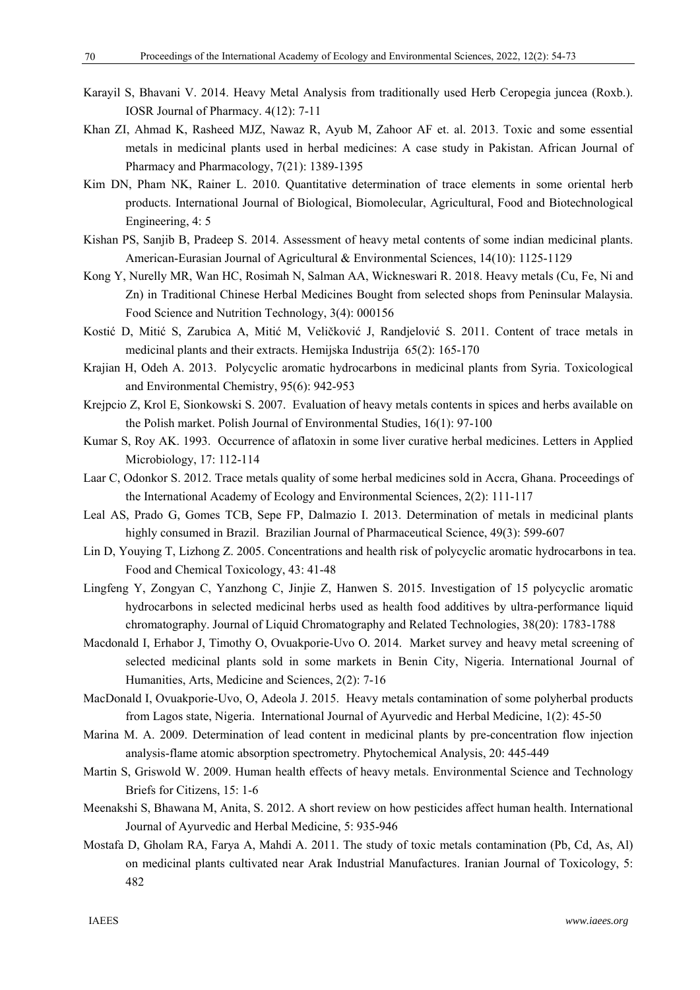- Karayil S, Bhavani V. 2014. Heavy Metal Analysis from traditionally used Herb Ceropegia juncea (Roxb.). IOSR Journal of Pharmacy. 4(12): 7-11
- Khan ZI, Ahmad K, Rasheed MJZ, Nawaz R, Ayub M, Zahoor AF et. al. 2013. Toxic and some essential metals in medicinal plants used in herbal medicines: A case study in Pakistan. African Journal of Pharmacy and Pharmacology, 7(21): 1389-1395
- Kim DN, Pham NK, Rainer L. 2010. Quantitative determination of trace elements in some oriental herb products. International Journal of Biological, Biomolecular, Agricultural, Food and Biotechnological Engineering, 4: 5
- Kishan PS, Sanjib B, Pradeep S. 2014. Assessment of heavy metal contents of some indian medicinal plants. American-Eurasian Journal of Agricultural & Environmental Sciences, 14(10): 1125-1129
- Kong Y, Nurelly MR, Wan HC, Rosimah N, Salman AA, Wickneswari R. 2018. Heavy metals (Cu, Fe, Ni and Zn) in Traditional Chinese Herbal Medicines Bought from selected shops from Peninsular Malaysia. Food Science and Nutrition Technology, 3(4): 000156
- Kostić D, Mitić S, Zarubica A, Mitić M, Veličković J, Randjelović S. 2011. Content of trace metals in medicinal plants and their extracts. Hemijska Industrija 65(2): 165-170
- Krajian H, Odeh A. 2013. Polycyclic aromatic hydrocarbons in medicinal plants from Syria. Toxicological and Environmental Chemistry, 95(6): 942-953
- Krejpcio Z, Krol E, Sionkowski S. 2007. Evaluation of heavy metals contents in spices and herbs available on the Polish market. Polish Journal of Environmental Studies, 16(1): 97-100
- Kumar S, Roy AK. 1993. Occurrence of aflatoxin in some liver curative herbal medicines. Letters in Applied Microbiology, 17: 112-114
- Laar C, Odonkor S. 2012. Trace metals quality of some herbal medicines sold in Accra, Ghana. Proceedings of the International Academy of Ecology and Environmental Sciences, 2(2): 111-117
- Leal AS, Prado G, Gomes TCB, Sepe FP, Dalmazio I. 2013. Determination of metals in medicinal plants highly consumed in Brazil. Brazilian Journal of Pharmaceutical Science, 49(3): 599-607
- Lin D, Youying T, Lizhong Z. 2005. Concentrations and health risk of polycyclic aromatic hydrocarbons in tea. Food and Chemical Toxicology, 43: 41-48
- Lingfeng Y, Zongyan C, Yanzhong C, Jinjie Z, Hanwen S. 2015. Investigation of 15 polycyclic aromatic hydrocarbons in selected medicinal herbs used as health food additives by ultra-performance liquid chromatography. Journal of Liquid Chromatography and Related Technologies, 38(20): 1783-1788
- Macdonald I, Erhabor J, Timothy O, Ovuakporie-Uvo O. 2014. Market survey and heavy metal screening of selected medicinal plants sold in some markets in Benin City, Nigeria. International Journal of Humanities, Arts, Medicine and Sciences, 2(2): 7-16
- MacDonald I, Ovuakporie-Uvo, O, Adeola J. 2015. Heavy metals contamination of some polyherbal products from Lagos state, Nigeria. International Journal of Ayurvedic and Herbal Medicine, 1(2): 45-50
- Marina M. A. 2009. Determination of lead content in medicinal plants by pre-concentration flow injection analysis-flame atomic absorption spectrometry. Phytochemical Analysis, 20: 445-449
- Martin S, Griswold W. 2009. Human health effects of heavy metals. Environmental Science and Technology Briefs for Citizens, 15: 1-6
- Meenakshi S, Bhawana M, Anita, S. 2012. A short review on how pesticides affect human health. International Journal of Ayurvedic and Herbal Medicine, 5: 935-946
- Mostafa D, Gholam RA, Farya A, Mahdi A. 2011. The study of toxic metals contamination (Pb, Cd, As, Al) on medicinal plants cultivated near Arak Industrial Manufactures. Iranian Journal of Toxicology, 5: 482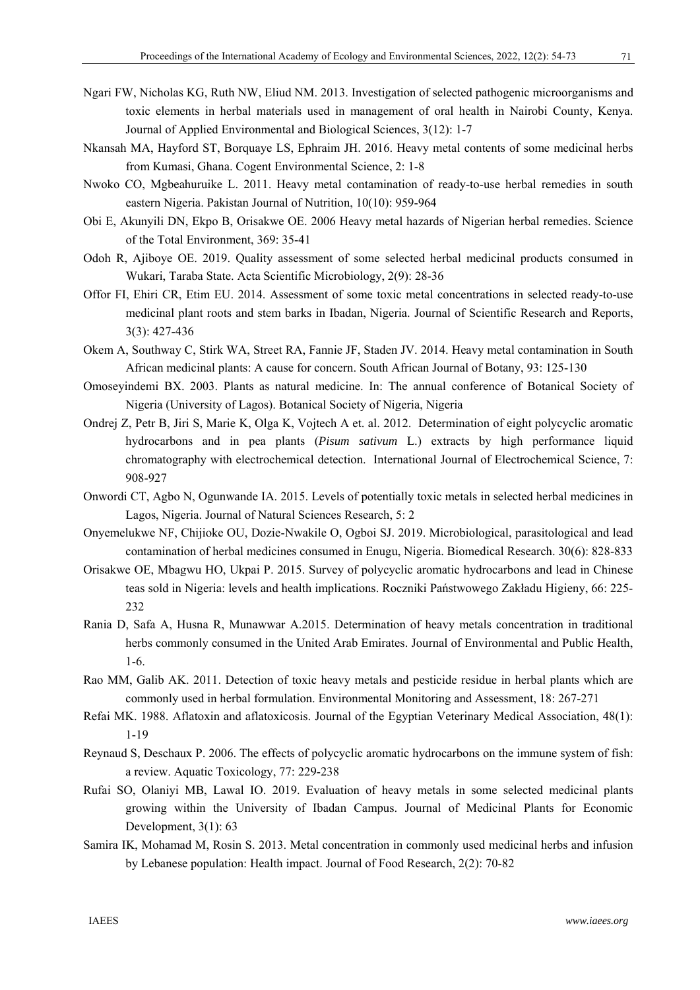- Ngari FW, Nicholas KG, Ruth NW, Eliud NM. 2013. Investigation of selected pathogenic microorganisms and toxic elements in herbal materials used in management of oral health in Nairobi County, Kenya. Journal of Applied Environmental and Biological Sciences, 3(12): 1-7
- Nkansah MA, Hayford ST, Borquaye LS, Ephraim JH. 2016. Heavy metal contents of some medicinal herbs from Kumasi, Ghana. Cogent Environmental Science, 2: 1-8
- Nwoko CO, Mgbeahuruike L. 2011. Heavy metal contamination of ready-to-use herbal remedies in south eastern Nigeria. Pakistan Journal of Nutrition, 10(10): 959-964
- Obi E, Akunyili DN, Ekpo B, Orisakwe OE. 2006 Heavy metal hazards of Nigerian herbal remedies. Science of the Total Environment, 369: 35-41
- Odoh R, Ajiboye OE. 2019. Quality assessment of some selected herbal medicinal products consumed in Wukari, Taraba State. Acta Scientific Microbiology, 2(9): 28-36
- Offor FI, Ehiri CR, Etim EU. 2014. Assessment of some toxic metal concentrations in selected ready-to-use medicinal plant roots and stem barks in Ibadan, Nigeria. Journal of Scientific Research and Reports, 3(3): 427-436
- Okem A, Southway C, Stirk WA, Street RA, Fannie JF, Staden JV. 2014. Heavy metal contamination in South African medicinal plants: A cause for concern. South African Journal of Botany, 93: 125-130
- Omoseyindemi BX. 2003. Plants as natural medicine. In: The annual conference of Botanical Society of Nigeria (University of Lagos). Botanical Society of Nigeria, Nigeria
- Ondrej Z, Petr B, Jiri S, Marie K, Olga K, Vojtech A et. al. 2012. Determination of eight polycyclic aromatic hydrocarbons and in pea plants (*Pisum sativum* L.) extracts by high performance liquid chromatography with electrochemical detection. International Journal of Electrochemical Science, 7: 908-927
- Onwordi CT, Agbo N, Ogunwande IA. 2015. Levels of potentially toxic metals in selected herbal medicines in Lagos, Nigeria. Journal of Natural Sciences Research, 5: 2
- Onyemelukwe NF, Chijioke OU, Dozie-Nwakile O, Ogboi SJ. 2019. Microbiological, parasitological and lead contamination of herbal medicines consumed in Enugu, Nigeria. Biomedical Research. 30(6): 828-833
- Orisakwe OE, Mbagwu HO, Ukpai P. 2015. Survey of polycyclic aromatic hydrocarbons and lead in Chinese teas sold in Nigeria: levels and health implications. Roczniki Państwowego Zakładu Higieny, 66: 225- 232
- Rania D, Safa A, Husna R, Munawwar A.2015. Determination of heavy metals concentration in traditional herbs commonly consumed in the United Arab Emirates. Journal of Environmental and Public Health, 1-6.
- Rao MM, Galib AK. 2011. Detection of toxic heavy metals and pesticide residue in herbal plants which are commonly used in herbal formulation. Environmental Monitoring and Assessment, 18: 267-271
- Refai MK. 1988. Aflatoxin and aflatoxicosis. Journal of the Egyptian Veterinary Medical Association, 48(1): 1-19
- Reynaud S, Deschaux P. 2006. The effects of polycyclic aromatic hydrocarbons on the immune system of fish: a review. Aquatic Toxicology, 77: 229-238
- Rufai SO, Olaniyi MB, Lawal IO. 2019. Evaluation of heavy metals in some selected medicinal plants growing within the University of Ibadan Campus. Journal of Medicinal Plants for Economic Development, 3(1): 63
- Samira IK, Mohamad M, Rosin S. 2013. Metal concentration in commonly used medicinal herbs and infusion by Lebanese population: Health impact. Journal of Food Research, 2(2): 70-82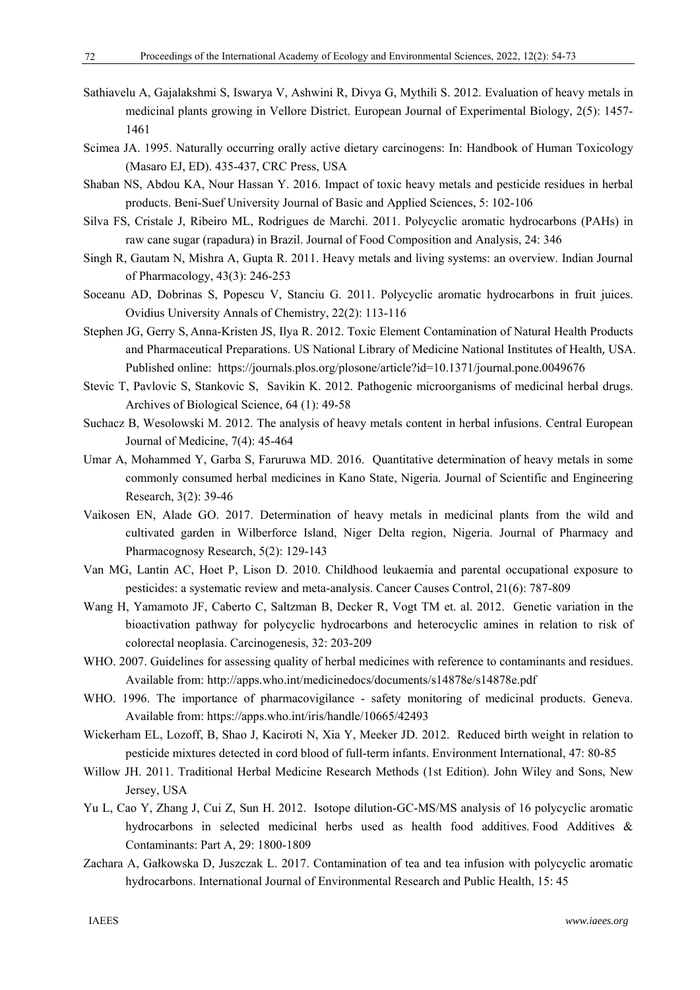- Sathiavelu A, Gajalakshmi S, Iswarya V, Ashwini R, Divya G, Mythili S. 2012. Evaluation of heavy metals in medicinal plants growing in Vellore District. European Journal of Experimental Biology, 2(5): 1457- 1461
- Scimea JA. 1995. Naturally occurring orally active dietary carcinogens: In: Handbook of Human Toxicology (Masaro EJ, ED). 435-437, CRC Press, USA
- Shaban NS, Abdou KA, Nour Hassan Y. 2016. Impact of toxic heavy metals and pesticide residues in herbal products. Beni-Suef University Journal of Basic and Applied Sciences, 5: 102-106
- Silva FS, Cristale J, Ribeiro ML, Rodrigues de Marchi. 2011. Polycyclic aromatic hydrocarbons (PAHs) in raw cane sugar (rapadura) in Brazil. Journal of Food Composition and Analysis, 24: 346
- Singh R, Gautam N, Mishra A, Gupta R. 2011. Heavy metals and living systems: an overview. Indian Journal of Pharmacology, 43(3): 246-253
- Soceanu AD, Dobrinas S, Popescu V, Stanciu G. 2011. Polycyclic aromatic hydrocarbons in fruit juices. Ovidius University Annals of Chemistry, 22(2): 113-116
- Stephen JG, Gerry S, Anna-Kristen JS, Ilya R. 2012. Toxic Element Contamination of Natural Health Products and Pharmaceutical Preparations. US National Library of Medicine National Institutes of Health, USA. Published online: https://journals.plos.org/plosone/article?id=10.1371/journal.pone.0049676
- Stevic T, Pavlovic S, Stankovic S, Savikin K. 2012. Pathogenic microorganisms of medicinal herbal drugs. Archives of Biological Science, 64 (1): 49-58
- Suchacz B, Wesolowski M. 2012. The analysis of heavy metals content in herbal infusions. Central European Journal of Medicine, 7(4): 45-464
- Umar A, Mohammed Y, Garba S, Faruruwa MD. 2016. Quantitative determination of heavy metals in some commonly consumed herbal medicines in Kano State, Nigeria. Journal of Scientific and Engineering Research, 3(2): 39-46
- Vaikosen EN, Alade GO. 2017. Determination of heavy metals in medicinal plants from the wild and cultivated garden in Wilberforce Island, Niger Delta region, Nigeria. Journal of Pharmacy and Pharmacognosy Research, 5(2): 129-143
- Van MG, Lantin AC, Hoet P, Lison D. 2010. Childhood leukaemia and parental occupational exposure to pesticides: a systematic review and meta-analysis. Cancer Causes Control, 21(6): 787-809
- Wang H, Yamamoto JF, Caberto C, Saltzman B, Decker R, Vogt TM et. al. 2012. Genetic variation in the bioactivation pathway for polycyclic hydrocarbons and heterocyclic amines in relation to risk of colorectal neoplasia. Carcinogenesis, 32: 203-209
- WHO. 2007. Guidelines for assessing quality of herbal medicines with reference to contaminants and residues. Available from: http://apps.who.int/medicinedocs/documents/s14878e/s14878e.pdf
- WHO. 1996. The importance of pharmacovigilance safety monitoring of medicinal products. Geneva. Available from: https://apps.who.int/iris/handle/10665/42493
- Wickerham EL, Lozoff, B, Shao J, Kaciroti N, Xia Y, Meeker JD. 2012. Reduced birth weight in relation to pesticide mixtures detected in cord blood of full-term infants. Environment International, 47: 80-85
- Willow JH. 2011. Traditional Herbal Medicine Research Methods (1st Edition). John Wiley and Sons, New Jersey, USA
- Yu L, Cao Y, Zhang J, Cui Z, Sun H. 2012. Isotope dilution-GC-MS/MS analysis of 16 polycyclic aromatic hydrocarbons in selected medicinal herbs used as health food additives. Food Additives & Contaminants: Part A, 29: 1800-1809
- Zachara A, Gałkowska D, Juszczak L. 2017. Contamination of tea and tea infusion with polycyclic aromatic hydrocarbons. International Journal of Environmental Research and Public Health, 15: 45